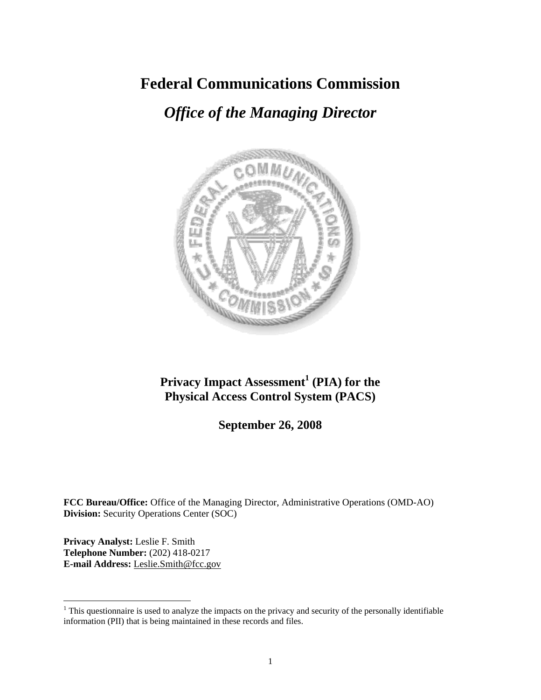## **Federal Communications Commission**

# *Office of the Managing Director*



## **Privacy Impact Assessment<sup>1</sup> (PIA) for the Physical Access Control System (PACS)**

**September 26, 2008** 

**FCC Bureau/Office:** Office of the Managing Director, Administrative Operations (OMD-AO) **Division:** Security Operations Center (SOC)

**Privacy Analyst:** Leslie F. Smith **Telephone Number:** (202) 418-0217 **E-mail Address:** Leslie.Smith@fcc.gov

 $\overline{a}$ 

 $1$ <sup>1</sup> This questionnaire is used to analyze the impacts on the privacy and security of the personally identifiable information (PII) that is being maintained in these records and files.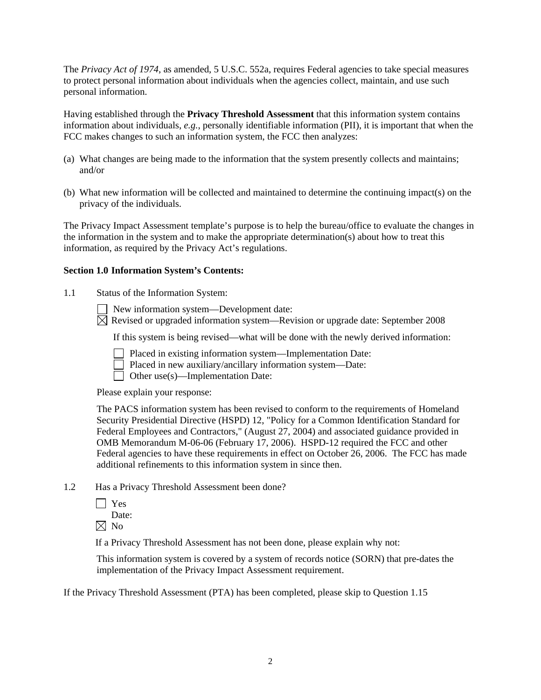The *Privacy Act of 1974*, as amended, 5 U.S.C. 552a, requires Federal agencies to take special measures to protect personal information about individuals when the agencies collect, maintain, and use such personal information.

Having established through the **Privacy Threshold Assessment** that this information system contains information about individuals, *e.g.*, personally identifiable information (PII), it is important that when the FCC makes changes to such an information system, the FCC then analyzes:

- (a) What changes are being made to the information that the system presently collects and maintains; and/or
- (b) What new information will be collected and maintained to determine the continuing impact(s) on the privacy of the individuals.

The Privacy Impact Assessment template's purpose is to help the bureau/office to evaluate the changes in the information in the system and to make the appropriate determination(s) about how to treat this information, as required by the Privacy Act's regulations.

#### **Section 1.0 Information System's Contents:**

1.1 Status of the Information System:

New information system—Development date:

 $\boxtimes$  Revised or upgraded information system—Revision or upgrade date: September 2008

If this system is being revised—what will be done with the newly derived information:

- Placed in existing information system—Implementation Date:
- Placed in new auxiliary/ancillary information system—Date:
- $\Box$  Other use(s)—Implementation Date:

Please explain your response:

The PACS information system has been revised to conform to the requirements of Homeland Security Presidential Directive (HSPD) 12, "Policy for a Common Identification Standard for Federal Employees and Contractors," (August 27, 2004) and associated guidance provided in OMB Memorandum M-06-06 (February 17, 2006). HSPD-12 required the FCC and other Federal agencies to have these requirements in effect on October 26, 2006. The FCC has made additional refinements to this information system in since then.

- 1.2 Has a Privacy Threshold Assessment been done?
	- | Yes

Date:

 $\boxtimes$  No

If a Privacy Threshold Assessment has not been done, please explain why not:

 This information system is covered by a system of records notice (SORN) that pre-dates the implementation of the Privacy Impact Assessment requirement.

If the Privacy Threshold Assessment (PTA) has been completed, please skip to Question 1.15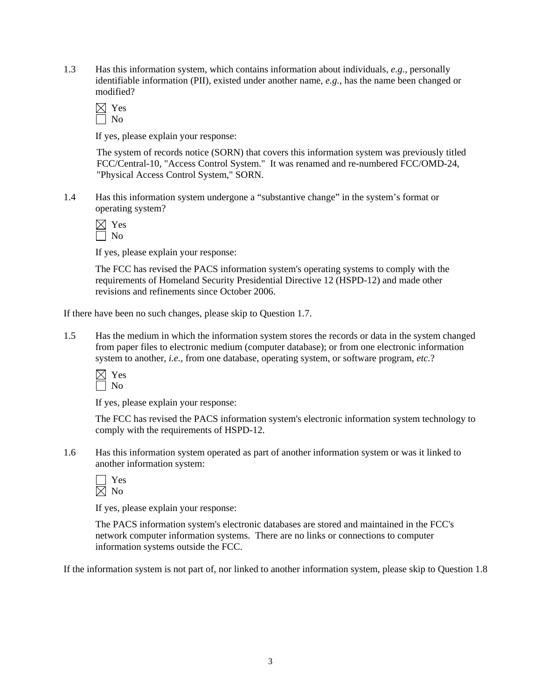1.3 Has this information system, which contains information about individuals, *e.g.*, personally identifiable information (PII), existed under another name, *e.g.*, has the name been changed or modified?

If yes, please explain your response:

 The system of records notice (SORN) that covers this information system was previously titled FCC/Central-10, "Access Control System." It was renamed and re-numbered FCC/OMD-24, "Physical Access Control System," SORN.

1.4 Has this information system undergone a "substantive change" in the system's format or operating system?

If yes, please explain your response:

The FCC has revised the PACS information system's operating systems to comply with the requirements of Homeland Security Presidential Directive 12 (HSPD-12) and made other revisions and refinements since October 2006.

If there have been no such changes, please skip to Question 1.7.

1.5 Has the medium in which the information system stores the records or data in the system changed from paper files to electronic medium (computer database); or from one electronic information system to another, *i.e.*, from one database, operating system, or software program, *etc.*?

 $\boxtimes$  Yes  $\Box$  No

If yes, please explain your response:

 The FCC has revised the PACS information system's electronic information system technology to comply with the requirements of HSPD-12.

1.6 Has this information system operated as part of another information system or was it linked to another information system:

| ۳ |
|---|
|   |

If yes, please explain your response:

The PACS information system's electronic databases are stored and maintained in the FCC's network computer information systems. There are no links or connections to computer information systems outside the FCC.

If the information system is not part of, nor linked to another information system, please skip to Question 1.8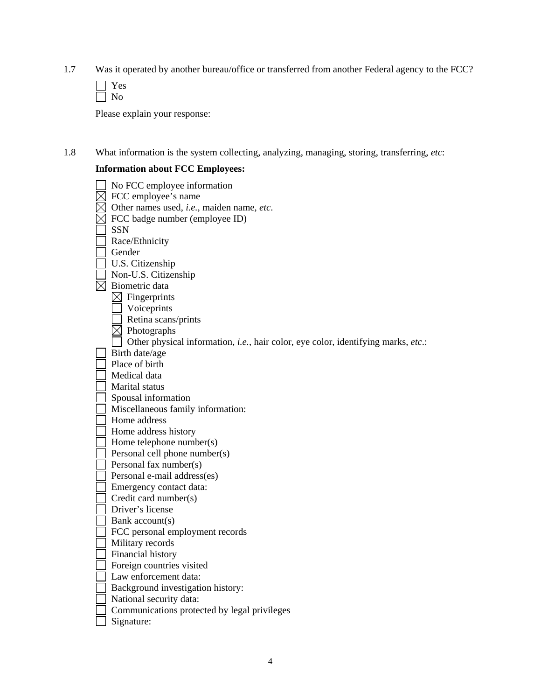1.7 Was it operated by another bureau/office or transferred from another Federal agency to the FCC?

Please explain your response:

1.8 What information is the system collecting, analyzing, managing, storing, transferring, *etc*:

### **Information about FCC Employees:**

| No FCC employee information                                                       |
|-----------------------------------------------------------------------------------|
| FCC employee's name                                                               |
| Other names used, i.e., maiden name, etc.                                         |
| FCC badge number (employee ID)                                                    |
| <b>SSN</b>                                                                        |
| Race/Ethnicity                                                                    |
| Gender                                                                            |
| U.S. Citizenship                                                                  |
| Non-U.S. Citizenship                                                              |
| Biometric data                                                                    |
| $\boxtimes$ Fingerprints                                                          |
| Voiceprints                                                                       |
| Retina scans/prints                                                               |
| Photographs                                                                       |
| Other physical information, i.e., hair color, eye color, identifying marks, etc.: |
| Birth date/age                                                                    |
| Place of birth                                                                    |
| Medical data                                                                      |
| Marital status                                                                    |
| Spousal information                                                               |
| Miscellaneous family information:                                                 |
| Home address                                                                      |
| Home address history                                                              |
| Home telephone number(s)                                                          |
| Personal cell phone number(s)                                                     |
| Personal fax number(s)                                                            |
| Personal e-mail address(es)                                                       |
| Emergency contact data:                                                           |
| Credit card number(s)                                                             |
| Driver's license                                                                  |
| Bank account(s)                                                                   |
| FCC personal employment records                                                   |
| Military records                                                                  |
| Financial history                                                                 |
| Foreign countries visited                                                         |
| Law enforcement data:                                                             |
| Background investigation history:                                                 |
| National security data:                                                           |
| Communications protected by legal privileges                                      |
| Signature:                                                                        |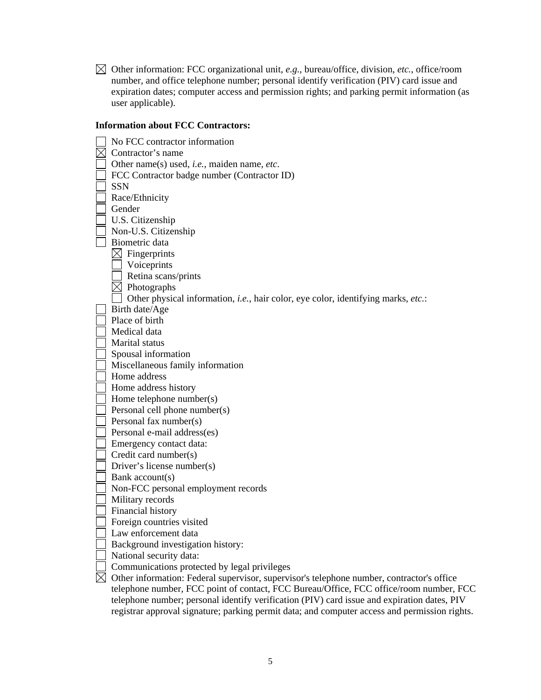Other information: FCC organizational unit, *e.g.*, bureau/office, division, *etc.*, office/room number, and office telephone number; personal identify verification (PIV) card issue and expiration dates; computer access and permission rights; and parking permit information (as user applicable).

#### **Information about FCC Contractors:**

|          | No FCC contractor information                                                                         |
|----------|-------------------------------------------------------------------------------------------------------|
| $\times$ | Contractor's name                                                                                     |
|          | Other name(s) used, i.e., maiden name, etc.                                                           |
|          | FCC Contractor badge number (Contractor ID)                                                           |
|          | <b>SSN</b>                                                                                            |
|          | Race/Ethnicity                                                                                        |
|          | Gender                                                                                                |
|          | U.S. Citizenship                                                                                      |
|          | Non-U.S. Citizenship                                                                                  |
|          | Biometric data                                                                                        |
|          | $\boxtimes$ Fingerprints                                                                              |
|          | Voiceprints                                                                                           |
|          | Retina scans/prints                                                                                   |
|          | Photographs                                                                                           |
|          | Other physical information, i.e., hair color, eye color, identifying marks, etc.:                     |
|          | Birth date/Age                                                                                        |
|          | Place of birth                                                                                        |
|          | Medical data                                                                                          |
|          | Marital status                                                                                        |
|          | Spousal information                                                                                   |
|          | Miscellaneous family information                                                                      |
|          | Home address                                                                                          |
|          | Home address history                                                                                  |
|          | Home telephone number(s)                                                                              |
|          | Personal cell phone number(s)                                                                         |
|          | Personal fax number(s)                                                                                |
|          | Personal e-mail address(es)                                                                           |
|          | Emergency contact data:                                                                               |
|          | Credit card number(s)                                                                                 |
|          | Driver's license number(s)                                                                            |
|          | Bank account(s)                                                                                       |
|          | Non-FCC personal employment records                                                                   |
|          | Military records                                                                                      |
|          | Financial history                                                                                     |
|          | Foreign countries visited                                                                             |
|          | Law enforcement data                                                                                  |
|          | Background investigation history:                                                                     |
|          | National security data:                                                                               |
|          | Communications protected by legal privileges                                                          |
|          | $\boxtimes$ Other information: Federal supervisor, supervisor's telephone number, contractor's office |
|          | telephone number, FCC point of contact, FCC Bureau/Office, FCC office/room number, FCC                |
|          | telephone number; personal identify verification (PIV) card issue and expiration dates, PIV           |
|          | registrar approval signature; parking permit data; and computer access and permission rights.         |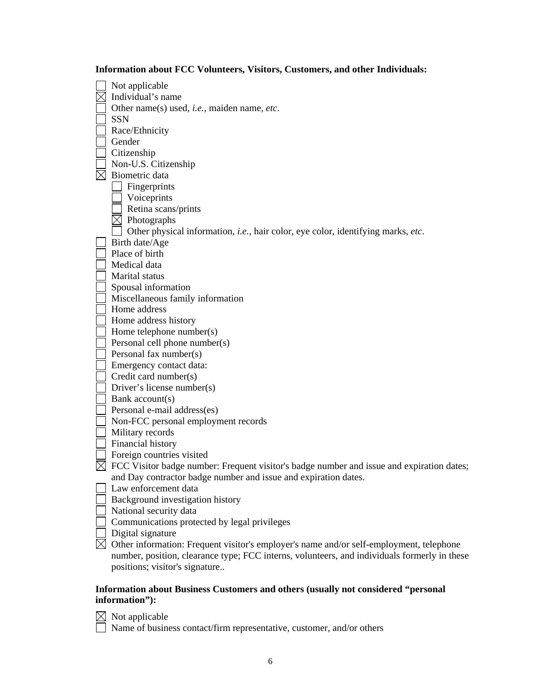| Not applicable                                                                               |
|----------------------------------------------------------------------------------------------|
| Individual's name                                                                            |
| Other name(s) used, <i>i.e.</i> , maiden name, <i>etc.</i>                                   |
| <b>SSN</b>                                                                                   |
|                                                                                              |
| Race/Ethnicity<br>Gender                                                                     |
|                                                                                              |
| Citizenship                                                                                  |
| Non-U.S. Citizenship<br>Biometric data                                                       |
|                                                                                              |
| Fingerprints                                                                                 |
| Voiceprints                                                                                  |
| Retina scans/prints                                                                          |
| Photographs                                                                                  |
| Other physical information, i.e., hair color, eye color, identifying marks, etc.             |
| Birth date/Age                                                                               |
| Place of birth                                                                               |
| Medical data                                                                                 |
| Marital status                                                                               |
| Spousal information                                                                          |
| Miscellaneous family information                                                             |
| Home address                                                                                 |
| Home address history                                                                         |
| Home telephone number(s)                                                                     |
| Personal cell phone number(s)                                                                |
| Personal fax number(s)                                                                       |
| Emergency contact data:                                                                      |
| Credit card number(s)                                                                        |
| Driver's license number(s)                                                                   |
| Bank account(s)                                                                              |
| Personal e-mail address(es)                                                                  |
| Non-FCC personal employment records                                                          |
| Military records                                                                             |
| Financial history                                                                            |
| Foreign countries visited                                                                    |
| FCC Visitor badge number: Frequent visitor's badge number and issue and expiration dates;    |
| and Day contractor badge number and issue and expiration dates.                              |
| Law enforcement data                                                                         |
| Background investigation history                                                             |
| National security data                                                                       |
| Communications protected by legal privileges                                                 |
| Digital signature                                                                            |
| Other information: Frequent visitor's employer's name and/or self-employment, telephone      |
| number, position, clearance type; FCC interns, volunteers, and individuals formerly in these |
| positions; visitor's signature                                                               |

**Information about FCC Volunteers, Visitors, Customers, and other Individuals:** 

#### **Information about Business Customers and others (usually not considered "personal information"):**

Not applicable

Name of business contact/firm representative, customer, and/or others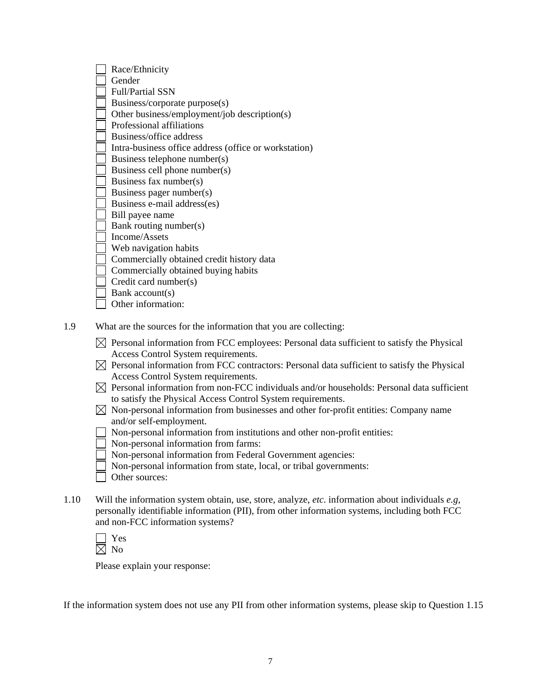| Race/Ethnicity                                        |
|-------------------------------------------------------|
| Gender                                                |
| <b>Full/Partial SSN</b>                               |
| Business/corporate purpose(s)                         |
| Other business/employment/job description(s)          |
| Professional affiliations                             |
| Business/office address                               |
| Intra-business office address (office or workstation) |
| Business telephone number(s)                          |
| Business cell phone number(s)                         |
| Business fax number(s)                                |
| Business pager number(s)                              |
| Business e-mail address(es)                           |
| Bill payee name                                       |
| Bank routing number(s)                                |
| Income/Assets                                         |
| Web navigation habits                                 |
| Commercially obtained credit history data             |
| Commercially obtained buying habits                   |
| Credit card number(s)                                 |
| Bank account(s)                                       |
| Other information:                                    |
|                                                       |

1.9 What are the sources for the information that you are collecting:

| $\boxtimes$ Personal information from FCC employees: Personal data sufficient to satisfy the Physical |  |
|-------------------------------------------------------------------------------------------------------|--|
| Access Control System requirements.                                                                   |  |

- $\boxtimes$  Personal information from FCC contractors: Personal data sufficient to satisfy the Physical Access Control System requirements.
- $\boxtimes$  Personal information from non-FCC individuals and/or households: Personal data sufficient to satisfy the Physical Access Control System requirements.
- $\boxtimes$  Non-personal information from businesses and other for-profit entities: Company name and/or self-employment.
- Non-personal information from institutions and other non-profit entities:
- Non-personal information from farms:
- Non-personal information from Federal Government agencies:
- Non-personal information from state, local, or tribal governments:
- Other sources:
- 1.10 Will the information system obtain, use, store, analyze, *etc*. information about individuals *e.g*, personally identifiable information (PII), from other information systems, including both FCC and non-FCC information systems?

Please explain your response:

If the information system does not use any PII from other information systems, please skip to Question 1.15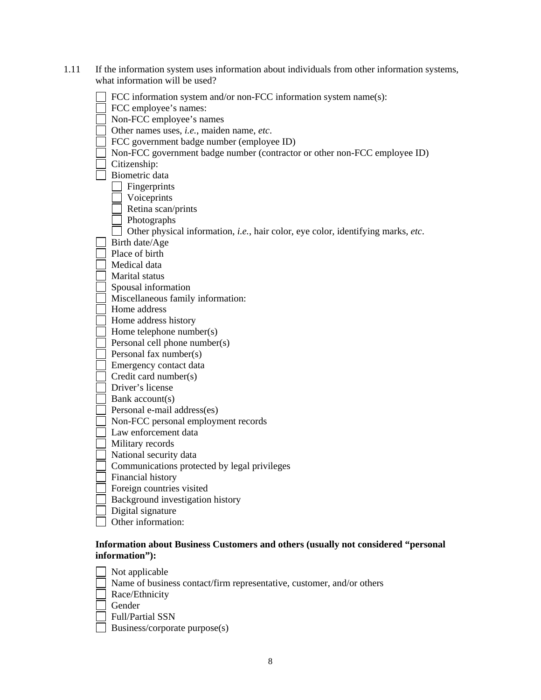| 1.11 | If the information system uses information about individuals from other information systems,<br>what information will be used?                                      |
|------|---------------------------------------------------------------------------------------------------------------------------------------------------------------------|
|      | FCC information system and/or non-FCC information system name(s):<br>FCC employee's names:<br>Non-FCC employee's names<br>Other names uses, i.e., maiden name, etc. |
|      | FCC government badge number (employee ID)                                                                                                                           |
|      | Non-FCC government badge number (contractor or other non-FCC employee ID)                                                                                           |
|      | Citizenship:                                                                                                                                                        |
|      | Biometric data                                                                                                                                                      |
|      | Fingerprints                                                                                                                                                        |
|      | Voiceprints                                                                                                                                                         |
|      | Retina scan/prints                                                                                                                                                  |
|      | Photographs                                                                                                                                                         |
|      | Other physical information, <i>i.e.</i> , hair color, eye color, identifying marks, etc.                                                                            |
|      | Birth date/Age                                                                                                                                                      |
|      | Place of birth                                                                                                                                                      |
|      | Medical data                                                                                                                                                        |
|      | Marital status                                                                                                                                                      |
|      | Spousal information                                                                                                                                                 |
|      | Miscellaneous family information:                                                                                                                                   |
|      | Home address                                                                                                                                                        |
|      | Home address history                                                                                                                                                |
|      | Home telephone number(s)                                                                                                                                            |
|      | Personal cell phone number(s)                                                                                                                                       |
|      | Personal fax number(s)                                                                                                                                              |
|      | Emergency contact data                                                                                                                                              |
|      | Credit card number(s)                                                                                                                                               |
|      | Driver's license                                                                                                                                                    |
|      | Bank account(s)                                                                                                                                                     |
|      | Personal e-mail address(es)                                                                                                                                         |
|      | Non-FCC personal employment records                                                                                                                                 |
|      | Law enforcement data                                                                                                                                                |
|      | Military records                                                                                                                                                    |
|      | National security data                                                                                                                                              |
|      | Communications protected by legal privileges                                                                                                                        |
|      | Financial history                                                                                                                                                   |
|      | Foreign countries visited                                                                                                                                           |
|      | Background investigation history                                                                                                                                    |
|      | Digital signature                                                                                                                                                   |
|      | Other information:                                                                                                                                                  |
|      |                                                                                                                                                                     |

### **Information about Business Customers and others (usually not considered "personal information"):**

| Not applicable                                                        |
|-----------------------------------------------------------------------|
| Name of business contact/firm representative, customer, and/or others |
| Race/Ethnicity                                                        |
| Gender                                                                |
| <b>Full/Partial SSN</b>                                               |
| Business/corporate purpose(s)                                         |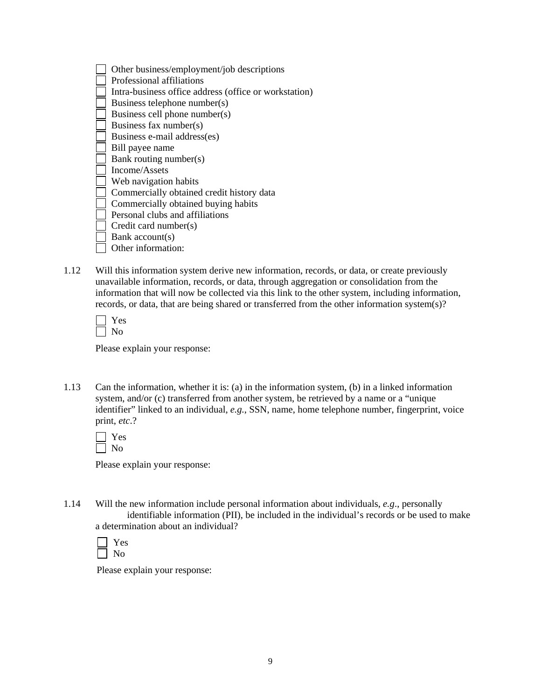| Other business/employment/job descriptions            |
|-------------------------------------------------------|
| Professional affiliations                             |
| Intra-business office address (office or workstation) |
| Business telephone number(s)                          |
| Business cell phone number(s)                         |
| Business fax number(s)                                |
| Business e-mail address(es)                           |
| Bill payee name                                       |
| Bank routing number(s)                                |
| Income/Assets                                         |
| Web navigation habits                                 |
| Commercially obtained credit history data             |
| Commercially obtained buying habits                   |
| Personal clubs and affiliations                       |
| Credit card number(s)                                 |
| Bank account(s)                                       |
| Other information:                                    |

1.12 Will this information system derive new information, records, or data, or create previously unavailable information, records, or data, through aggregation or consolidation from the information that will now be collected via this link to the other system, including information, records, or data, that are being shared or transferred from the other information system(s)?

Please explain your response:

1.13 Can the information, whether it is: (a) in the information system, (b) in a linked information system, and/or (c) transferred from another system, be retrieved by a name or a "unique identifier" linked to an individual, *e.g.*, SSN, name, home telephone number, fingerprint, voice print, *etc*.?

Please explain your response:

1.14 Will the new information include personal information about individuals, *e.g*., personally identifiable information (PII), be included in the individual's records or be used to make a determination about an individual?

| c<br>r |
|--------|
|        |

Please explain your response: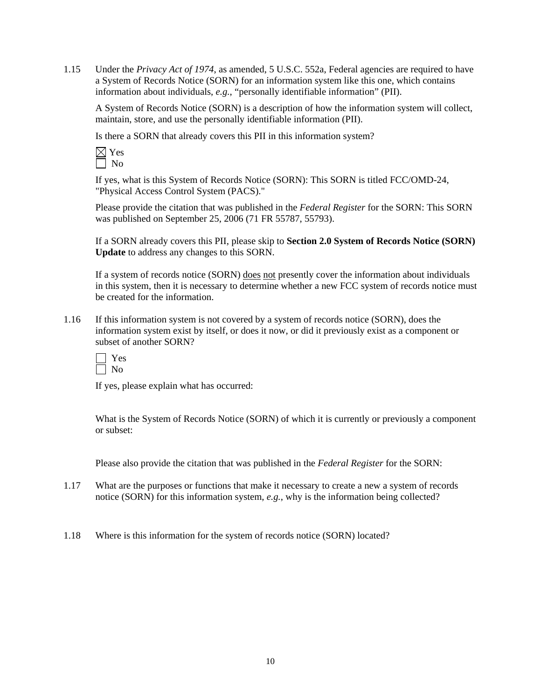1.15 Under the *Privacy Act of 1974*, as amended, 5 U.S.C. 552a, Federal agencies are required to have a System of Records Notice (SORN) for an information system like this one, which contains information about individuals, *e.g.*, "personally identifiable information" (PII).

A System of Records Notice (SORN) is a description of how the information system will collect, maintain, store, and use the personally identifiable information (PII).

Is there a SORN that already covers this PII in this information system?

If yes, what is this System of Records Notice (SORN): This SORN is titled FCC/OMD-24, "Physical Access Control System (PACS)."

Please provide the citation that was published in the *Federal Register* for the SORN: This SORN was published on September 25, 2006 (71 FR 55787, 55793).

If a SORN already covers this PII, please skip to **Section 2.0 System of Records Notice (SORN) Update** to address any changes to this SORN.

If a system of records notice (SORN) does not presently cover the information about individuals in this system, then it is necessary to determine whether a new FCC system of records notice must be created for the information.

1.16 If this information system is not covered by a system of records notice (SORN), does the information system exist by itself, or does it now, or did it previously exist as a component or subset of another SORN?

If yes, please explain what has occurred:

What is the System of Records Notice (SORN) of which it is currently or previously a component or subset:

Please also provide the citation that was published in the *Federal Register* for the SORN:

- 1.17 What are the purposes or functions that make it necessary to create a new a system of records notice (SORN) for this information system, *e.g.*, why is the information being collected?
- 1.18 Where is this information for the system of records notice (SORN) located?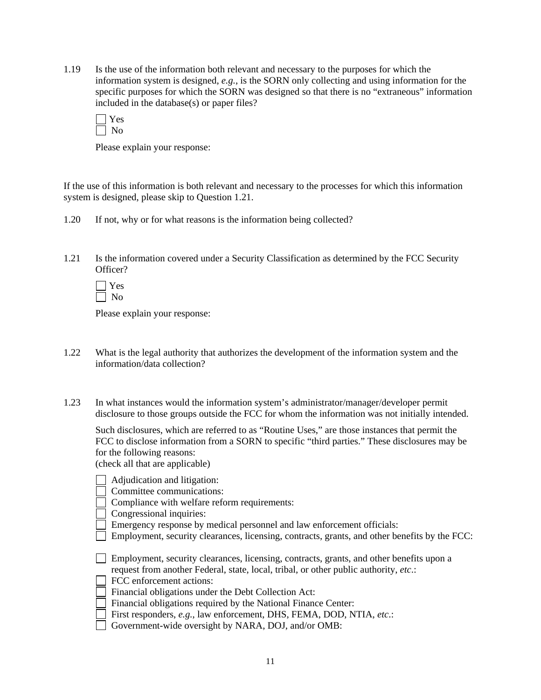1.19 Is the use of the information both relevant and necessary to the purposes for which the information system is designed, *e.g.*, is the SORN only collecting and using information for the specific purposes for which the SORN was designed so that there is no "extraneous" information included in the database(s) or paper files?

Please explain your response:

If the use of this information is both relevant and necessary to the processes for which this information system is designed, please skip to Question 1.21.

- 1.20 If not, why or for what reasons is the information being collected?
- 1.21 Is the information covered under a Security Classification as determined by the FCC Security Officer?

 Yes No

Please explain your response:

- 1.22 What is the legal authority that authorizes the development of the information system and the information/data collection?
- 1.23 In what instances would the information system's administrator/manager/developer permit disclosure to those groups outside the FCC for whom the information was not initially intended.

 Such disclosures, which are referred to as "Routine Uses," are those instances that permit the FCC to disclose information from a SORN to specific "third parties." These disclosures may be for the following reasons:

(check all that are applicable)

| Adjudication and litigation:                                                                  |
|-----------------------------------------------------------------------------------------------|
| Committee communications:                                                                     |
| Compliance with welfare reform requirements:                                                  |
| Congressional inquiries:                                                                      |
| Emergency response by medical personnel and law enforcement officials:                        |
| Employment, security clearances, licensing, contracts, grants, and other benefits by the FCC: |
|                                                                                               |
| Employment, security clearances, licensing, contracts, grants, and other benefits upon a      |
| request from another Federal, state, local, tribal, or other public authority, etc.:          |
| FCC enforcement actions:                                                                      |
| Financial obligations under the Debt Collection Act:                                          |
| Financial obligations required by the National Finance Center:                                |
| First responders, e.g., law enforcement, DHS, FEMA, DOD, NTIA, etc.:                          |
| $CQUorm$ wide overgiant by $NADA$ , $DOL$ and/or $OMD$ .                                      |

Government-wide oversight by NARA, DOJ, and/or OMB: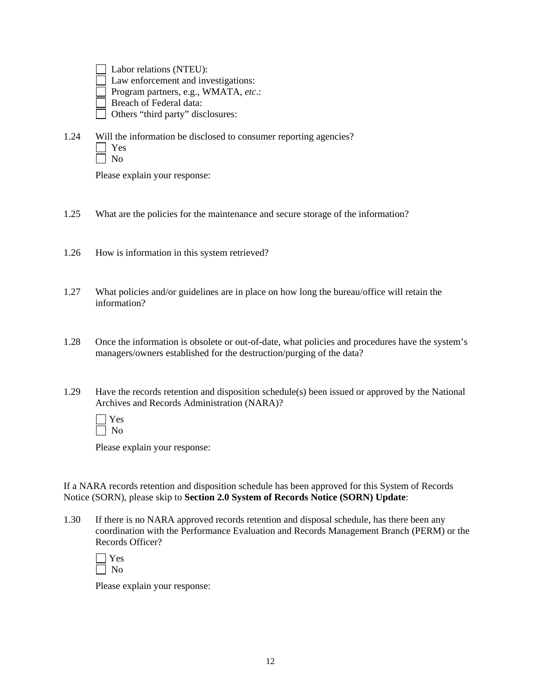Labor relations (NTEU): Law enforcement and investigations: Program partners, e.g., WMATA, *etc*.:

Breach of Federal data:

Others "third party" disclosures:

1.24 Will the information be disclosed to consumer reporting agencies? Yes No

Please explain your response:

- 1.25 What are the policies for the maintenance and secure storage of the information?
- 1.26 How is information in this system retrieved?
- 1.27 What policies and/or guidelines are in place on how long the bureau/office will retain the information?
- 1.28 Once the information is obsolete or out-of-date, what policies and procedures have the system's managers/owners established for the destruction/purging of the data?
- 1.29 Have the records retention and disposition schedule(s) been issued or approved by the National Archives and Records Administration (NARA)?

Please explain your response:

If a NARA records retention and disposition schedule has been approved for this System of Records Notice (SORN), please skip to **Section 2.0 System of Records Notice (SORN) Update**:

1.30 If there is no NARA approved records retention and disposal schedule, has there been any coordination with the Performance Evaluation and Records Management Branch (PERM) or the Records Officer?

Please explain your response: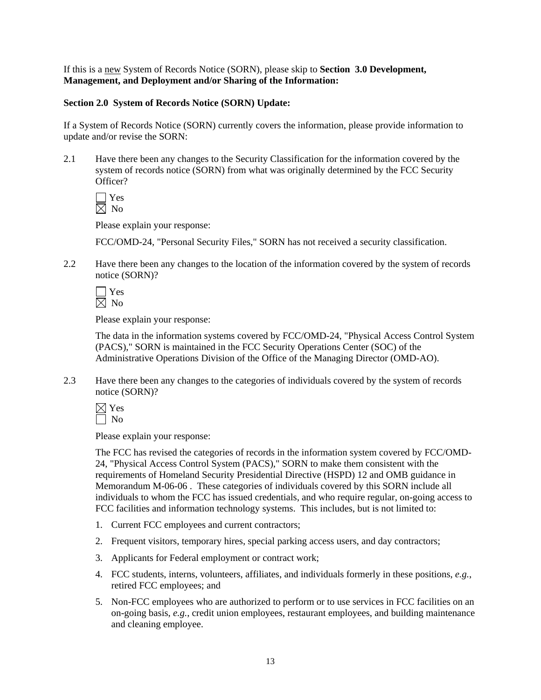If this is a new System of Records Notice (SORN), please skip to **Section 3.0 Development, Management, and Deployment and/or Sharing of the Information:** 

#### **Section 2.0 System of Records Notice (SORN) Update:**

If a System of Records Notice (SORN) currently covers the information, please provide information to update and/or revise the SORN:

2.1 Have there been any changes to the Security Classification for the information covered by the system of records notice (SORN) from what was originally determined by the FCC Security Officer?

 Yes  $\boxtimes$  No

Please explain your response:

FCC/OMD-24, "Personal Security Files," SORN has not received a security classification.

2.2 Have there been any changes to the location of the information covered by the system of records notice (SORN)?

Please explain your response:

 The data in the information systems covered by FCC/OMD-24, "Physical Access Control System (PACS)," SORN is maintained in the FCC Security Operations Center (SOC) of the Administrative Operations Division of the Office of the Managing Director (OMD-AO).

2.3 Have there been any changes to the categories of individuals covered by the system of records notice (SORN)?

 $\boxtimes$  Yes  $\Box$  No

Please explain your response:

The FCC has revised the categories of records in the information system covered by FCC/OMD-24, "Physical Access Control System (PACS)," SORN to make them consistent with the requirements of Homeland Security Presidential Directive (HSPD) 12 and OMB guidance in Memorandum M-06-06 . These categories of individuals covered by this SORN include all individuals to whom the FCC has issued credentials, and who require regular, on-going access to FCC facilities and information technology systems. This includes, but is not limited to:

- 1. Current FCC employees and current contractors;
- 2. Frequent visitors, temporary hires, special parking access users, and day contractors;
- 3. Applicants for Federal employment or contract work;
- 4. FCC students, interns, volunteers, affiliates, and individuals formerly in these positions, *e.g.*, retired FCC employees; and
- 5. Non-FCC employees who are authorized to perform or to use services in FCC facilities on an on-going basis, *e.g.*, credit union employees, restaurant employees, and building maintenance and cleaning employee.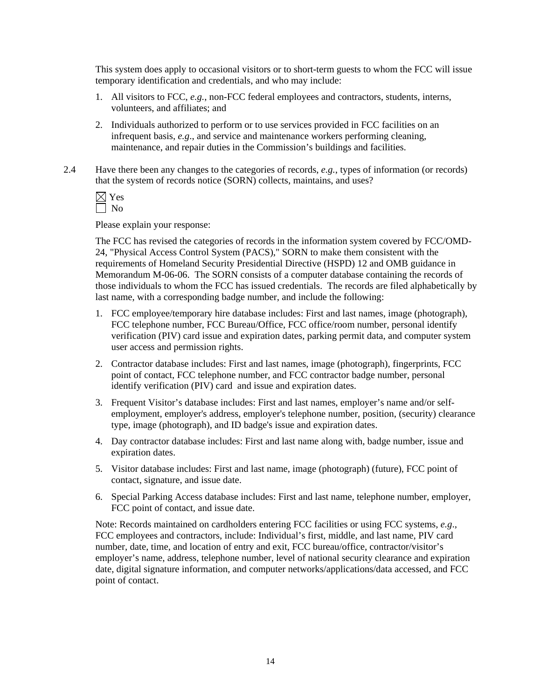This system does apply to occasional visitors or to short-term guests to whom the FCC will issue temporary identification and credentials, and who may include:

- 1. All visitors to FCC, *e.g.*, non-FCC federal employees and contractors, students, interns, volunteers, and affiliates; and
- 2. Individuals authorized to perform or to use services provided in FCC facilities on an infrequent basis, *e.g*., and service and maintenance workers performing cleaning, maintenance, and repair duties in the Commission's buildings and facilities.
- 2.4 Have there been any changes to the categories of records, *e.g.*, types of information (or records) that the system of records notice (SORN) collects, maintains, and uses?

Please explain your response:

The FCC has revised the categories of records in the information system covered by FCC/OMD-24, "Physical Access Control System (PACS)," SORN to make them consistent with the requirements of Homeland Security Presidential Directive (HSPD) 12 and OMB guidance in Memorandum M-06-06. The SORN consists of a computer database containing the records of those individuals to whom the FCC has issued credentials. The records are filed alphabetically by last name, with a corresponding badge number, and include the following:

- 1. FCC employee/temporary hire database includes: First and last names, image (photograph), FCC telephone number, FCC Bureau/Office, FCC office/room number, personal identify verification (PIV) card issue and expiration dates, parking permit data, and computer system user access and permission rights.
- 2. Contractor database includes: First and last names, image (photograph), fingerprints, FCC point of contact, FCC telephone number, and FCC contractor badge number, personal identify verification (PIV) card and issue and expiration dates.
- 3. Frequent Visitor's database includes: First and last names, employer's name and/or selfemployment, employer's address, employer's telephone number, position, (security) clearance type, image (photograph), and ID badge's issue and expiration dates.
- 4. Day contractor database includes: First and last name along with, badge number, issue and expiration dates.
- 5. Visitor database includes: First and last name, image (photograph) (future), FCC point of contact, signature, and issue date.
- 6. Special Parking Access database includes: First and last name, telephone number, employer, FCC point of contact, and issue date.

Note: Records maintained on cardholders entering FCC facilities or using FCC systems, *e.g*., FCC employees and contractors, include: Individual's first, middle, and last name, PIV card number, date, time, and location of entry and exit, FCC bureau/office, contractor/visitor's employer's name, address, telephone number, level of national security clearance and expiration date, digital signature information, and computer networks/applications/data accessed, and FCC point of contact.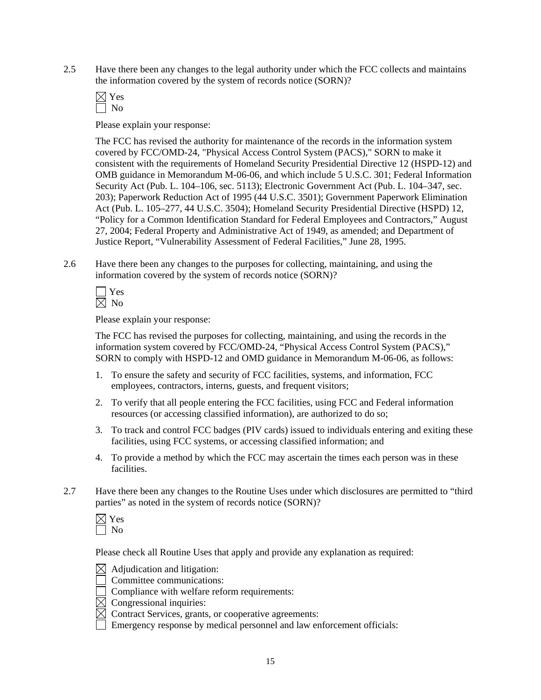2.5 Have there been any changes to the legal authority under which the FCC collects and maintains the information covered by the system of records notice (SORN)?

Please explain your response:

 The FCC has revised the authority for maintenance of the records in the information system covered by FCC/OMD-24, "Physical Access Control System (PACS)," SORN to make it consistent with the requirements of Homeland Security Presidential Directive 12 (HSPD-12) and OMB guidance in Memorandum M-06-06, and which include 5 U.S.C. 301; Federal Information Security Act (Pub. L. 104–106, sec. 5113); Electronic Government Act (Pub. L. 104–347, sec. 203); Paperwork Reduction Act of 1995 (44 U.S.C. 3501); Government Paperwork Elimination Act (Pub. L. 105–277, 44 U.S.C. 3504); Homeland Security Presidential Directive (HSPD) 12, "Policy for a Common Identification Standard for Federal Employees and Contractors," August 27, 2004; Federal Property and Administrative Act of 1949, as amended; and Department of Justice Report, "Vulnerability Assessment of Federal Facilities," June 28, 1995.

2.6 Have there been any changes to the purposes for collecting, maintaining, and using the information covered by the system of records notice (SORN)?

Please explain your response:

The FCC has revised the purposes for collecting, maintaining, and using the records in the information system covered by FCC/OMD-24, "Physical Access Control System (PACS)," SORN to comply with HSPD-12 and OMD guidance in Memorandum M-06-06, as follows:

- 1. To ensure the safety and security of FCC facilities, systems, and information, FCC employees, contractors, interns, guests, and frequent visitors;
- 2. To verify that all people entering the FCC facilities, using FCC and Federal information resources (or accessing classified information), are authorized to do so;
- 3. To track and control FCC badges (PIV cards) issued to individuals entering and exiting these facilities, using FCC systems, or accessing classified information; and
- 4. To provide a method by which the FCC may ascertain the times each person was in these facilities.
- 2.7 Have there been any changes to the Routine Uses under which disclosures are permitted to "third parties" as noted in the system of records notice (SORN)?

Please check all Routine Uses that apply and provide any explanation as required:



Committee communications:

Compliance with welfare reform requirements:

- $\overline{\boxtimes}$  Congressional inquiries:
- $\boxtimes$  Contract Services, grants, or cooperative agreements:

Emergency response by medical personnel and law enforcement officials: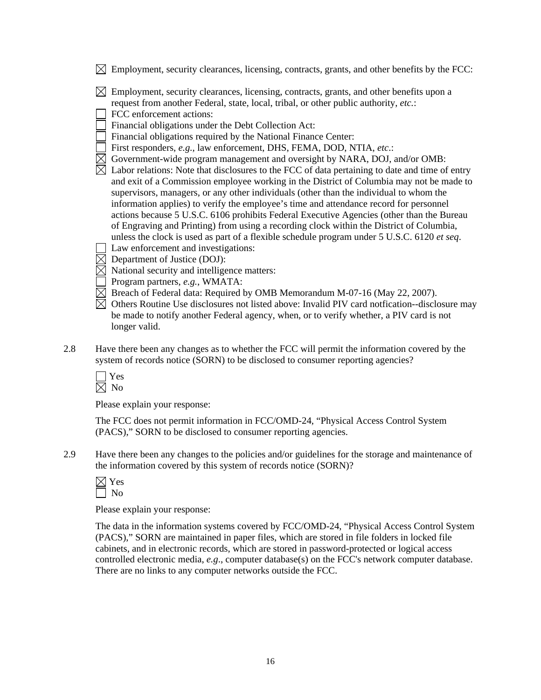- $\boxtimes$  Employment, security clearances, licensing, contracts, grants, and other benefits by the FCC:
- $\boxtimes$  Employment, security clearances, licensing, contracts, grants, and other benefits upon a request from another Federal, state, local, tribal, or other public authority, *etc.*:
- FCC enforcement actions:
- Financial obligations under the Debt Collection Act:
- Financial obligations required by the National Finance Center:
- First responders, *e.g.*, law enforcement, DHS, FEMA, DOD, NTIA, *etc*.:
- Government-wide program management and oversight by NARA, DOJ, and/or OMB:
- $\overline{\boxtimes}$  Labor relations: Note that disclosures to the FCC of data pertaining to date and time of entry and exit of a Commission employee working in the District of Columbia may not be made to supervisors, managers, or any other individuals (other than the individual to whom the information applies) to verify the employee's time and attendance record for personnel actions because 5 U.S.C. 6106 prohibits Federal Executive Agencies (other than the Bureau of Engraving and Printing) from using a recording clock within the District of Columbia, unless the clock is used as part of a flexible schedule program under 5 U.S.C. 6120 *et seq*.
	- Law enforcement and investigations:
- $\boxtimes$  Department of Justice (DOJ):
- $\boxtimes$  National security and intelligence matters:
- Program partners, *e.g.*, WMATA:
- $\boxtimes$  Breach of Federal data: Required by OMB Memorandum M-07-16 (May 22, 2007).
- $\boxtimes$  Others Routine Use disclosures not listed above: Invalid PIV card notfication--disclosure may be made to notify another Federal agency, when, or to verify whether, a PIV card is not longer valid.
- 2.8 Have there been any changes as to whether the FCC will permit the information covered by the system of records notice (SORN) to be disclosed to consumer reporting agencies?



Please explain your response:

 The FCC does not permit information in FCC/OMD-24, "Physical Access Control System (PACS)," SORN to be disclosed to consumer reporting agencies.

2.9 Have there been any changes to the policies and/or guidelines for the storage and maintenance of the information covered by this system of records notice (SORN)?

 $\boxtimes$  Yes No

Please explain your response:

 The data in the information systems covered by FCC/OMD-24, "Physical Access Control System (PACS)," SORN are maintained in paper files, which are stored in file folders in locked file cabinets, and in electronic records, which are stored in password-protected or logical access controlled electronic media, *e.g*., computer database(s) on the FCC's network computer database. There are no links to any computer networks outside the FCC.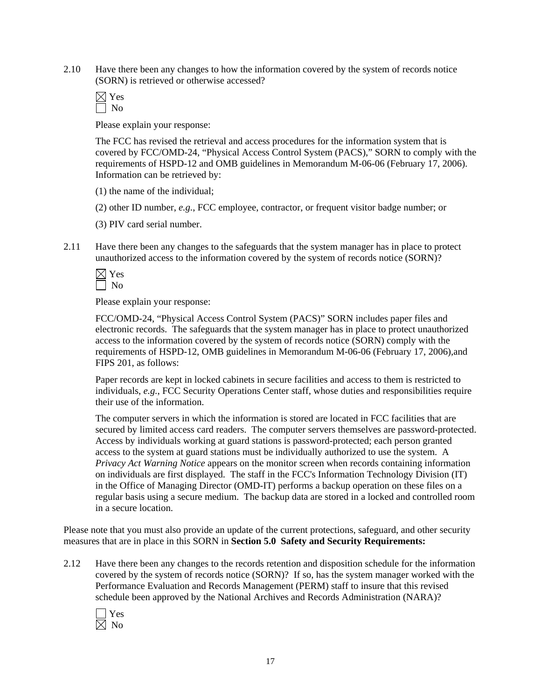2.10 Have there been any changes to how the information covered by the system of records notice (SORN) is retrieved or otherwise accessed?

 Yes No

Please explain your response:

The FCC has revised the retrieval and access procedures for the information system that is covered by FCC/OMD-24, "Physical Access Control System (PACS)," SORN to comply with the requirements of HSPD-12 and OMB guidelines in Memorandum M-06-06 (February 17, 2006). Information can be retrieved by:

(1) the name of the individual;

(2) other ID number, *e.g.*, FCC employee, contractor, or frequent visitor badge number; or

(3) PIV card serial number.

2.11 Have there been any changes to the safeguards that the system manager has in place to protect unauthorized access to the information covered by the system of records notice (SORN)?

Please explain your response:

 FCC/OMD-24, "Physical Access Control System (PACS)" SORN includes paper files and electronic records. The safeguards that the system manager has in place to protect unauthorized access to the information covered by the system of records notice (SORN) comply with the requirements of HSPD-12, OMB guidelines in Memorandum M-06-06 (February 17, 2006),and FIPS 201, as follows:

Paper records are kept in locked cabinets in secure facilities and access to them is restricted to individuals, *e.g.*, FCC Security Operations Center staff, whose duties and responsibilities require their use of the information.

The computer servers in which the information is stored are located in FCC facilities that are secured by limited access card readers. The computer servers themselves are password-protected. Access by individuals working at guard stations is password-protected; each person granted access to the system at guard stations must be individually authorized to use the system. A *Privacy Act Warning Notice* appears on the monitor screen when records containing information on individuals are first displayed. The staff in the FCC's Information Technology Division (IT) in the Office of Managing Director (OMD-IT) performs a backup operation on these files on a regular basis using a secure medium. The backup data are stored in a locked and controlled room in a secure location.

Please note that you must also provide an update of the current protections, safeguard, and other security measures that are in place in this SORN in **Section 5.0 Safety and Security Requirements:** 

2.12 Have there been any changes to the records retention and disposition schedule for the information covered by the system of records notice (SORN)? If so, has the system manager worked with the Performance Evaluation and Records Management (PERM) staff to insure that this revised schedule been approved by the National Archives and Records Administration (NARA)?

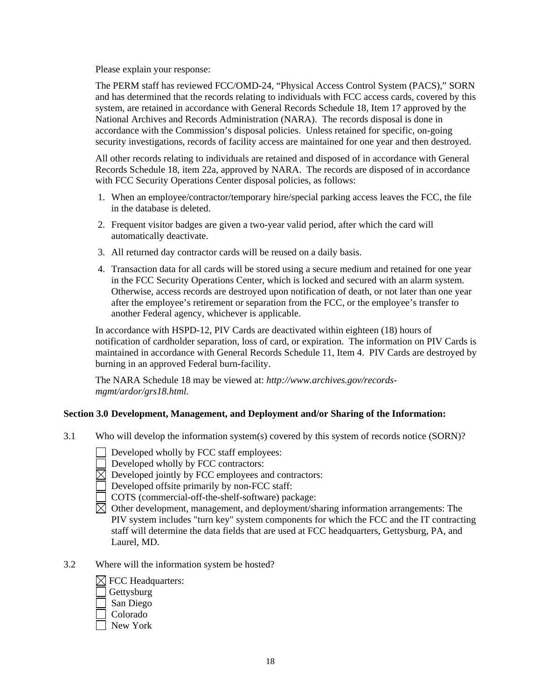Please explain your response:

The PERM staff has reviewed FCC/OMD-24, "Physical Access Control System (PACS)," SORN and has determined that the records relating to individuals with FCC access cards, covered by this system, are retained in accordance with General Records Schedule 18, Item 17 approved by the National Archives and Records Administration (NARA). The records disposal is done in accordance with the Commission's disposal policies. Unless retained for specific, on-going security investigations, records of facility access are maintained for one year and then destroyed.

All other records relating to individuals are retained and disposed of in accordance with General Records Schedule 18, item 22a, approved by NARA. The records are disposed of in accordance with FCC Security Operations Center disposal policies, as follows:

- 1. When an employee/contractor/temporary hire/special parking access leaves the FCC, the file in the database is deleted.
- 2. Frequent visitor badges are given a two-year valid period, after which the card will automatically deactivate.
- 3. All returned day contractor cards will be reused on a daily basis.
- 4. Transaction data for all cards will be stored using a secure medium and retained for one year in the FCC Security Operations Center, which is locked and secured with an alarm system. Otherwise, access records are destroyed upon notification of death, or not later than one year after the employee's retirement or separation from the FCC, or the employee's transfer to another Federal agency, whichever is applicable.

In accordance with HSPD-12, PIV Cards are deactivated within eighteen (18) hours of notification of cardholder separation, loss of card, or expiration. The information on PIV Cards is maintained in accordance with General Records Schedule 11, Item 4. PIV Cards are destroyed by burning in an approved Federal burn-facility.

The NARA Schedule 18 may be viewed at: *http://www.archives.gov/recordsmgmt/ardor/grs18.html.*

#### **Section 3.0 Development, Management, and Deployment and/or Sharing of the Information:**

- 3.1 Who will develop the information system(s) covered by this system of records notice (SORN)?
	- Developed wholly by FCC staff employees:
	- Developed wholly by FCC contractors:
	- $\boxtimes$  Developed jointly by FCC employees and contractors:
	- Developed offsite primarily by non-FCC staff:
	- COTS (commercial-off-the-shelf-software) package:
	- $\boxtimes$  Other development, management, and deployment/sharing information arrangements: The PIV system includes "turn key" system components for which the FCC and the IT contracting staff will determine the data fields that are used at FCC headquarters, Gettysburg, PA, and Laurel, MD.
- 3.2 Where will the information system be hosted?

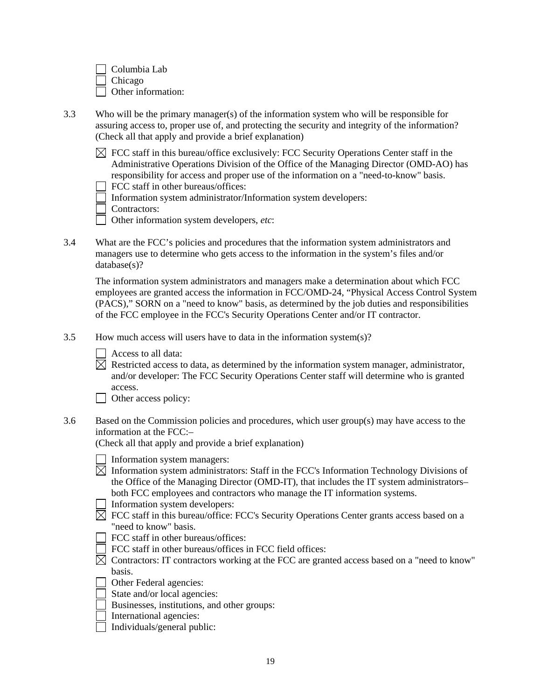Columbia Lab Chicago Other information:

- 3.3 Who will be the primary manager(s) of the information system who will be responsible for assuring access to, proper use of, and protecting the security and integrity of the information? (Check all that apply and provide a brief explanation)
	- $\boxtimes$  FCC staff in this bureau/office exclusively: FCC Security Operations Center staff in the Administrative Operations Division of the Office of the Managing Director (OMD-AO) has responsibility for access and proper use of the information on a "need-to-know" basis.
		- FCC staff in other bureaus/offices:
	- Information system administrator/Information system developers:

Contractors:

- Other information system developers, *etc*:
- 3.4 What are the FCC's policies and procedures that the information system administrators and managers use to determine who gets access to the information in the system's files and/or database(s)?

The information system administrators and managers make a determination about which FCC employees are granted access the information in FCC/OMD-24, "Physical Access Control System (PACS)," SORN on a "need to know" basis, as determined by the job duties and responsibilities of the FCC employee in the FCC's Security Operations Center and/or IT contractor.

- 3.5 How much access will users have to data in the information system(s)?
	- Access to all data:

 $\boxtimes$  Restricted access to data, as determined by the information system manager, administrator, and/or developer: The FCC Security Operations Center staff will determine who is granted access.

Other access policy:

3.6 Based on the Commission policies and procedures, which user group(s) may have access to the information at the FCC:–

(Check all that apply and provide a brief explanation)

- Information system managers:
- $\boxtimes$  Information system administrators: Staff in the FCC's Information Technology Divisions of the Office of the Managing Director (OMD-IT), that includes the IT system administrators– both FCC employees and contractors who manage the IT information systems.
- Information system developers:
- $\boxtimes$  FCC staff in this bureau/office: FCC's Security Operations Center grants access based on a "need to know" basis.
	- FCC staff in other bureaus/offices:
	- FCC staff in other bureaus/offices in FCC field offices:
- $\boxtimes$  Contractors: IT contractors working at the FCC are granted access based on a "need to know" basis.
- Other Federal agencies:
- State and/or local agencies:
- Businesses, institutions, and other groups:
- International agencies:
- Individuals/general public: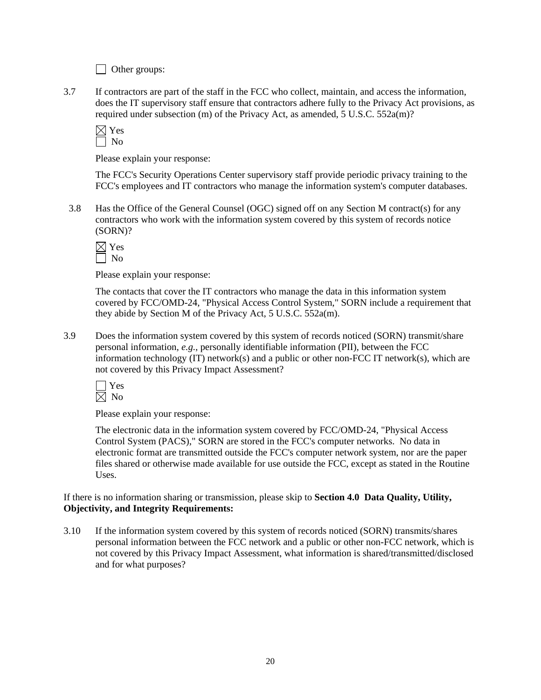Other groups:

3.7 If contractors are part of the staff in the FCC who collect, maintain, and access the information, does the IT supervisory staff ensure that contractors adhere fully to the Privacy Act provisions, as required under subsection (m) of the Privacy Act, as amended, 5 U.S.C. 552a(m)?

 $\boxtimes$  Yes  $\Box$  No

Please explain your response:

The FCC's Security Operations Center supervisory staff provide periodic privacy training to the FCC's employees and IT contractors who manage the information system's computer databases.

3.8 Has the Office of the General Counsel (OGC) signed off on any Section M contract(s) for any contractors who work with the information system covered by this system of records notice (SORN)?

Please explain your response:

The contacts that cover the IT contractors who manage the data in this information system covered by FCC/OMD-24, "Physical Access Control System," SORN include a requirement that they abide by Section M of the Privacy Act, 5 U.S.C. 552a(m).

3.9 Does the information system covered by this system of records noticed (SORN) transmit/share personal information, *e.g.*, personally identifiable information (PII), between the FCC information technology (IT) network(s) and a public or other non-FCC IT network(s), which are not covered by this Privacy Impact Assessment?



Please explain your response:

The electronic data in the information system covered by FCC/OMD-24, "Physical Access Control System (PACS)," SORN are stored in the FCC's computer networks. No data in electronic format are transmitted outside the FCC's computer network system, nor are the paper files shared or otherwise made available for use outside the FCC, except as stated in the Routine Uses.

If there is no information sharing or transmission, please skip to **Section 4.0 Data Quality, Utility, Objectivity, and Integrity Requirements:**

3.10 If the information system covered by this system of records noticed (SORN) transmits/shares personal information between the FCC network and a public or other non-FCC network, which is not covered by this Privacy Impact Assessment, what information is shared/transmitted/disclosed and for what purposes?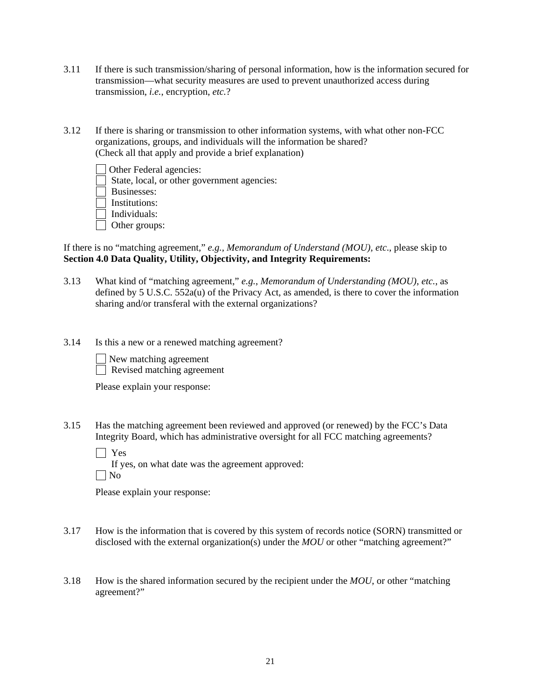- 3.11 If there is such transmission/sharing of personal information, how is the information secured for transmission—what security measures are used to prevent unauthorized access during transmission, *i.e.*, encryption, *etc.*?
- 3.12 If there is sharing or transmission to other information systems, with what other non-FCC organizations, groups, and individuals will the information be shared? (Check all that apply and provide a brief explanation)
	- Other Federal agencies:
	- State, local, or other government agencies:
	- Businesses:
	- Institutions:
	- $\Box$  Individuals:
	- □ Other groups:
- If there is no "matching agreement," *e.g., Memorandum of Understand (MOU), etc*., please skip to **Section 4.0 Data Quality, Utility, Objectivity, and Integrity Requirements:**
- 3.13 What kind of "matching agreement," *e.g.*, *Memorandum of Understanding (MOU)*, *etc.*, as defined by 5 U.S.C. 552a(u) of the Privacy Act, as amended, is there to cover the information sharing and/or transferal with the external organizations?
- 3.14 Is this a new or a renewed matching agreement?
	- New matching agreement
	- Revised matching agreement

Please explain your response:

3.15 Has the matching agreement been reviewed and approved (or renewed) by the FCC's Data Integrity Board, which has administrative oversight for all FCC matching agreements?

Yes

If yes, on what date was the agreement approved:

 $\Box$  No

Please explain your response:

- 3.17 How is the information that is covered by this system of records notice (SORN) transmitted or disclosed with the external organization(s) under the *MOU* or other "matching agreement?"
- 3.18 How is the shared information secured by the recipient under the *MOU*, or other "matching agreement?"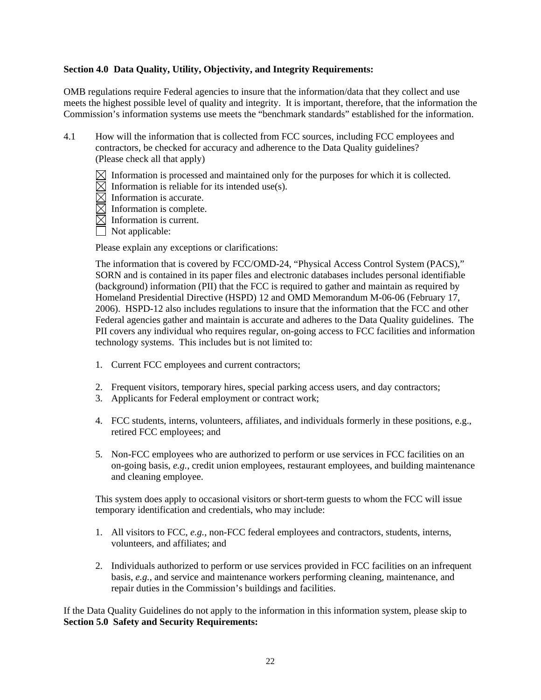#### **Section 4.0 Data Quality, Utility, Objectivity, and Integrity Requirements:**

OMB regulations require Federal agencies to insure that the information/data that they collect and use meets the highest possible level of quality and integrity. It is important, therefore, that the information the Commission's information systems use meets the "benchmark standards" established for the information.

- 4.1 How will the information that is collected from FCC sources, including FCC employees and contractors, be checked for accuracy and adherence to the Data Quality guidelines? (Please check all that apply)
	- $\boxtimes$  Information is processed and maintained only for the purposes for which it is collected.
	- $\boxtimes$  Information is reliable for its intended use(s).
	- $\overline{\boxtimes}$  Information is accurate.
	- $\boxtimes$  Information is complete.
	- $\boxtimes$  Information is current.
	- Not applicable:

Please explain any exceptions or clarifications:

The information that is covered by FCC/OMD-24, "Physical Access Control System (PACS)," SORN and is contained in its paper files and electronic databases includes personal identifiable (background) information (PII) that the FCC is required to gather and maintain as required by Homeland Presidential Directive (HSPD) 12 and OMD Memorandum M-06-06 (February 17, 2006). HSPD-12 also includes regulations to insure that the information that the FCC and other Federal agencies gather and maintain is accurate and adheres to the Data Quality guidelines. The PII covers any individual who requires regular, on-going access to FCC facilities and information technology systems. This includes but is not limited to:

- 1. Current FCC employees and current contractors;
- 2. Frequent visitors, temporary hires, special parking access users, and day contractors;
- 3. Applicants for Federal employment or contract work;
- 4. FCC students, interns, volunteers, affiliates, and individuals formerly in these positions, e.g., retired FCC employees; and
- 5. Non-FCC employees who are authorized to perform or use services in FCC facilities on an on-going basis, *e.g.*, credit union employees, restaurant employees, and building maintenance and cleaning employee.

This system does apply to occasional visitors or short-term guests to whom the FCC will issue temporary identification and credentials, who may include:

- 1. All visitors to FCC, *e.g.*, non-FCC federal employees and contractors, students, interns, volunteers, and affiliates; and
- 2. Individuals authorized to perform or use services provided in FCC facilities on an infrequent basis, *e.g.*, and service and maintenance workers performing cleaning, maintenance, and repair duties in the Commission's buildings and facilities.

If the Data Quality Guidelines do not apply to the information in this information system, please skip to **Section 5.0 Safety and Security Requirements:**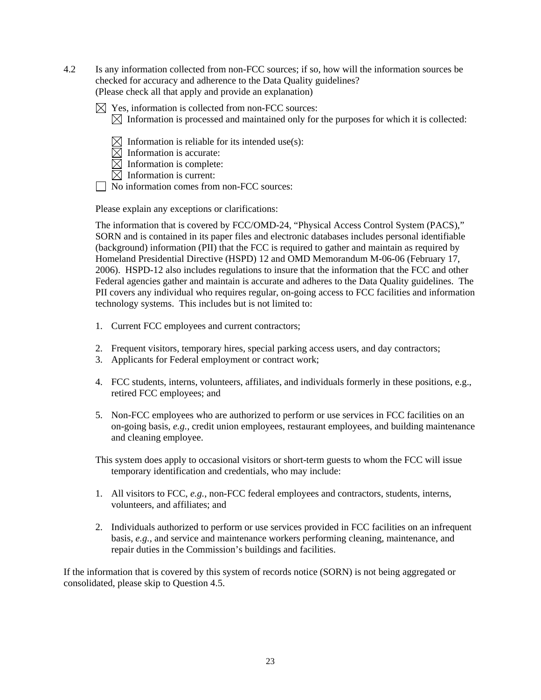- 4.2 Is any information collected from non-FCC sources; if so, how will the information sources be checked for accuracy and adherence to the Data Quality guidelines? (Please check all that apply and provide an explanation)
	- $\boxtimes$  Yes, information is collected from non-FCC sources:
		- $\boxtimes$  Information is processed and maintained only for the purposes for which it is collected:
		- $\bowtie$  Information is reliable for its intended use(s):
		- $\boxtimes$  Information is accurate:
		- $\boxtimes$  Information is complete:
		- $\boxtimes$  Information is current:
	- No information comes from non-FCC sources:

Please explain any exceptions or clarifications:

The information that is covered by FCC/OMD-24, "Physical Access Control System (PACS)," SORN and is contained in its paper files and electronic databases includes personal identifiable (background) information (PII) that the FCC is required to gather and maintain as required by Homeland Presidential Directive (HSPD) 12 and OMD Memorandum M-06-06 (February 17, 2006). HSPD-12 also includes regulations to insure that the information that the FCC and other Federal agencies gather and maintain is accurate and adheres to the Data Quality guidelines. The PII covers any individual who requires regular, on-going access to FCC facilities and information technology systems. This includes but is not limited to:

- 1. Current FCC employees and current contractors;
- 2. Frequent visitors, temporary hires, special parking access users, and day contractors;
- 3. Applicants for Federal employment or contract work;
- 4. FCC students, interns, volunteers, affiliates, and individuals formerly in these positions, e.g., retired FCC employees; and
- 5. Non-FCC employees who are authorized to perform or use services in FCC facilities on an on-going basis, *e.g.*, credit union employees, restaurant employees, and building maintenance and cleaning employee.

This system does apply to occasional visitors or short-term guests to whom the FCC will issue temporary identification and credentials, who may include:

- 1. All visitors to FCC, *e.g.*, non-FCC federal employees and contractors, students, interns, volunteers, and affiliates; and
- 2. Individuals authorized to perform or use services provided in FCC facilities on an infrequent basis, *e.g.*, and service and maintenance workers performing cleaning, maintenance, and repair duties in the Commission's buildings and facilities.

If the information that is covered by this system of records notice (SORN) is not being aggregated or consolidated, please skip to Question 4.5.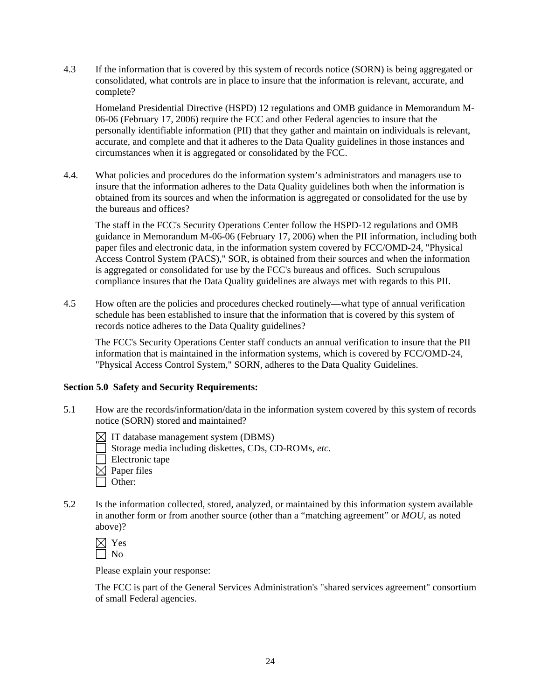4.3 If the information that is covered by this system of records notice (SORN) is being aggregated or consolidated, what controls are in place to insure that the information is relevant, accurate, and complete?

 Homeland Presidential Directive (HSPD) 12 regulations and OMB guidance in Memorandum M-06-06 (February 17, 2006) require the FCC and other Federal agencies to insure that the personally identifiable information (PII) that they gather and maintain on individuals is relevant, accurate, and complete and that it adheres to the Data Quality guidelines in those instances and circumstances when it is aggregated or consolidated by the FCC.

4.4. What policies and procedures do the information system's administrators and managers use to insure that the information adheres to the Data Quality guidelines both when the information is obtained from its sources and when the information is aggregated or consolidated for the use by the bureaus and offices?

 The staff in the FCC's Security Operations Center follow the HSPD-12 regulations and OMB guidance in Memorandum M-06-06 (February 17, 2006) when the PII information, including both paper files and electronic data, in the information system covered by FCC/OMD-24, "Physical Access Control System (PACS)," SOR, is obtained from their sources and when the information is aggregated or consolidated for use by the FCC's bureaus and offices. Such scrupulous compliance insures that the Data Quality guidelines are always met with regards to this PII.

4.5 How often are the policies and procedures checked routinely—what type of annual verification schedule has been established to insure that the information that is covered by this system of records notice adheres to the Data Quality guidelines?

 The FCC's Security Operations Center staff conducts an annual verification to insure that the PII information that is maintained in the information systems, which is covered by FCC/OMD-24, "Physical Access Control System," SORN, adheres to the Data Quality Guidelines.

#### **Section 5.0 Safety and Security Requirements:**

- 5.1 How are the records/information/data in the information system covered by this system of records notice (SORN) stored and maintained?
	- $\boxtimes$  IT database management system (DBMS)
	- Storage media including diskettes, CDs, CD-ROMs, *etc*.
	- Electronic tape
	- $\boxtimes$  Paper files
	- $\Box$  Other:
- 5.2 Is the information collected, stored, analyzed, or maintained by this information system available in another form or from another source (other than a "matching agreement" or *MOU*, as noted above)?

| ĸ<br>٣ |
|--------|
|        |

Please explain your response:

The FCC is part of the General Services Administration's "shared services agreement" consortium of small Federal agencies.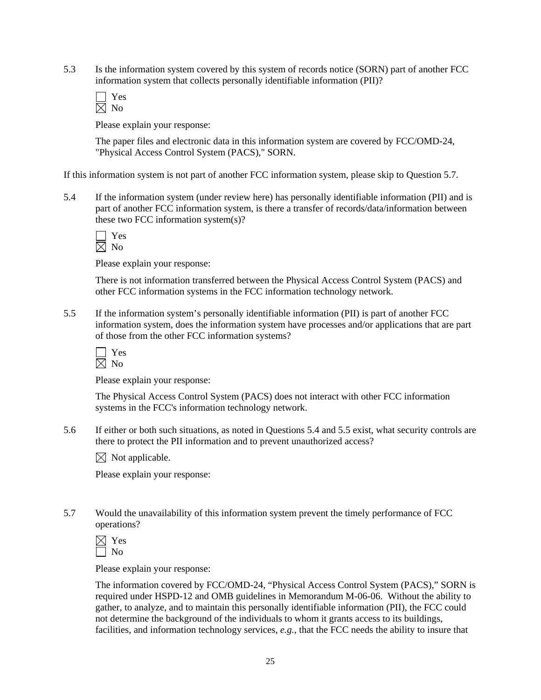5.3 Is the information system covered by this system of records notice (SORN) part of another FCC information system that collects personally identifiable information (PII)?

Please explain your response:

The paper files and electronic data in this information system are covered by FCC/OMD-24, "Physical Access Control System (PACS)," SORN.

If this information system is not part of another FCC information system, please skip to Question 5.7.

5.4 If the information system (under review here) has personally identifiable information (PII) and is part of another FCC information system, is there a transfer of records/data/information between these two FCC information system(s)?

Please explain your response:

There is not information transferred between the Physical Access Control System (PACS) and other FCC information systems in the FCC information technology network.

5.5 If the information system's personally identifiable information (PII) is part of another FCC information system, does the information system have processes and/or applications that are part of those from the other FCC information systems?

Please explain your response:

The Physical Access Control System (PACS) does not interact with other FCC information systems in the FCC's information technology network.

5.6 If either or both such situations, as noted in Questions 5.4 and 5.5 exist, what security controls are there to protect the PII information and to prevent unauthorized access?

 $\boxtimes$  Not applicable.

Please explain your response:

5.7 Would the unavailability of this information system prevent the timely performance of FCC operations?

| ٣ |
|---|
|   |

Please explain your response:

The information covered by FCC/OMD-24, "Physical Access Control System (PACS)," SORN is required under HSPD-12 and OMB guidelines in Memorandum M-06-06. Without the ability to gather, to analyze, and to maintain this personally identifiable information (PII), the FCC could not determine the background of the individuals to whom it grants access to its buildings, facilities, and information technology services, *e.g.*, that the FCC needs the ability to insure that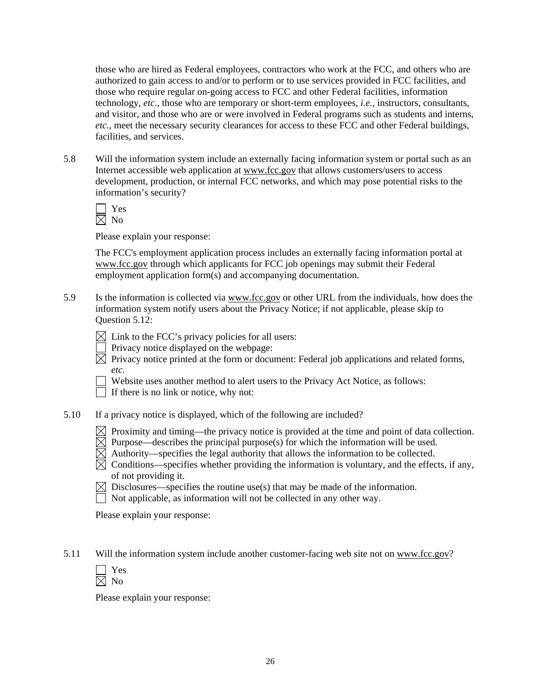those who are hired as Federal employees, contractors who work at the FCC, and others who are authorized to gain access to and/or to perform or to use services provided in FCC facilities, and those who require regular on-going access to FCC and other Federal facilities, information technology, *etc*., those who are temporary or short-term employees, *i.e.*, instructors, consultants, and visitor, and those who are or were involved in Federal programs such as students and interns, *etc.*, meet the necessary security clearances for access to these FCC and other Federal buildings, facilities, and services.

5.8 Will the information system include an externally facing information system or portal such as an Internet accessible web application at www.fcc.gov that allows customers/users to access development, production, or internal FCC networks, and which may pose potential risks to the information's security?

 Yes  $\overline{\boxtimes}$  No

Please explain your response:

The FCC's employment application process includes an externally facing information portal at www.fcc.gov through which applicants for FCC job openings may submit their Federal employment application form(s) and accompanying documentation.

5.9 Is the information is collected via www.fcc.gov or other URL from the individuals, how does the information system notify users about the Privacy Notice; if not applicable, please skip to Question 5.12:

 $\boxtimes$  Link to the FCC's privacy policies for all users:

- Privacy notice displayed on the webpage:
- $\boxtimes$  Privacy notice printed at the form or document: Federal job applications and related forms, *etc.*
- Website uses another method to alert users to the Privacy Act Notice, as follows:

If there is no link or notice, why not:

- 5.10 If a privacy notice is displayed, which of the following are included?
	- $\boxtimes$  Proximity and timing—the privacy notice is provided at the time and point of data collection.
	- $\boxtimes$  Purpose—describes the principal purpose(s) for which the information will be used.
	- $\overline{\boxtimes}$  Authority—specifies the legal authority that allows the information to be collected.
	- $\boxtimes$  Conditions—specifies whether providing the information is voluntary, and the effects, if any, of not providing it.
	- $\boxtimes$  Disclosures—specifies the routine use(s) that may be made of the information.
	- $\Box$  Not applicable, as information will not be collected in any other way.

Please explain your response:

5.11 Will the information system include another customer-facing web site not on www.fcc.gov?

| ۳ |
|---|
|   |

Please explain your response: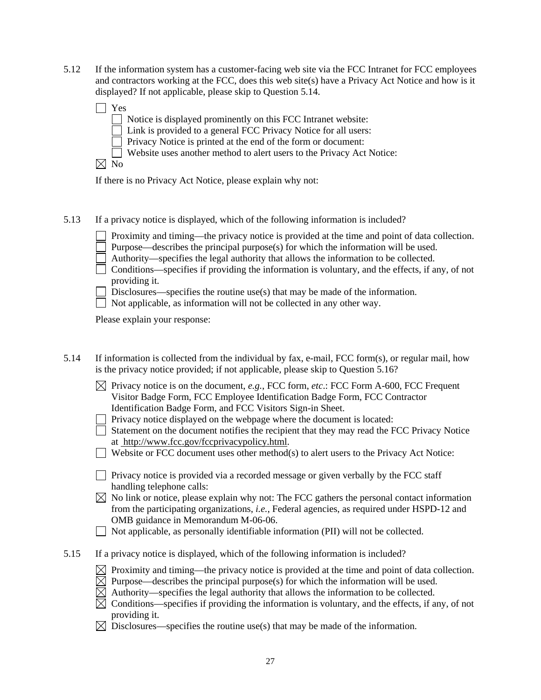5.12 If the information system has a customer-facing web site via the FCC Intranet for FCC employees and contractors working at the FCC, does this web site(s) have a Privacy Act Notice and how is it displayed? If not applicable, please skip to Question 5.14.

| Yes            |                                                                        |
|----------------|------------------------------------------------------------------------|
|                | $\Box$ Notice is displayed prominently on this FCC Intranet website:   |
|                | $\Box$ Link is provided to a general FCC Privacy Notice for all users: |
|                | $\Box$ Privacy Notice is printed at the end of the form or document:   |
|                | Website uses another method to alert users to the Privacy Act Notice:  |
| N <sub>0</sub> |                                                                        |

If there is no Privacy Act Notice, please explain why not:

5.13 If a privacy notice is displayed, which of the following information is included?

| $\perp$ Proximity and timing—the privacy notice is provided at the time and point of data collection. |  |  |  |  |  |  |  |
|-------------------------------------------------------------------------------------------------------|--|--|--|--|--|--|--|
|                                                                                                       |  |  |  |  |  |  |  |

- Purpose—describes the principal purpose(s) for which the information will be used.
- Authority—specifies the legal authority that allows the information to be collected.
- $\Box$  Conditions—specifies if providing the information is voluntary, and the effects, if any, of not providing it.
- Disclosures—specifies the routine use(s) that may be made of the information.
- $\Box$  Not applicable, as information will not be collected in any other way.

Please explain your response:

| 5.14 | If information is collected from the individual by fax, e-mail, FCC form(s), or regular mail, how |
|------|---------------------------------------------------------------------------------------------------|
|      | is the privacy notice provided; if not applicable, please skip to Question 5.16?                  |

- $\boxtimes$  Privacy notice is on the document, *e.g.*, FCC form, *etc.*: FCC Form A-600, FCC Frequent Visitor Badge Form, FCC Employee Identification Badge Form, FCC Contractor Identification Badge Form, and FCC Visitors Sign-in Sheet.
- $\Box$  Privacy notice displayed on the webpage where the document is located:
- Statement on the document notifies the recipient that they may read the FCC Privacy Notice at http://www.fcc.gov/fccprivacypolicy.html.
- $\Box$  Website or FCC document uses other method(s) to alert users to the Privacy Act Notice:
- $\Box$  Privacy notice is provided via a recorded message or given verbally by the FCC staff handling telephone calls:
- $\boxtimes$  No link or notice, please explain why not: The FCC gathers the personal contact information from the participating organizations, *i.e.*, Federal agencies, as required under HSPD-12 and OMB guidance in Memorandum M-06-06.
- $\Box$  Not applicable, as personally identifiable information (PII) will not be collected.
- 5.15 If a privacy notice is displayed, which of the following information is included?
	- $\boxtimes$  Proximity and timing—the privacy notice is provided at the time and point of data collection.
	- $\boxtimes$  Purpose—describes the principal purpose(s) for which the information will be used.
	- $\boxtimes$  Authority—specifies the legal authority that allows the information to be collected.
	- $\boxtimes$  Conditions—specifies if providing the information is voluntary, and the effects, if any, of not providing it.
	- $\boxtimes$  Disclosures—specifies the routine use(s) that may be made of the information.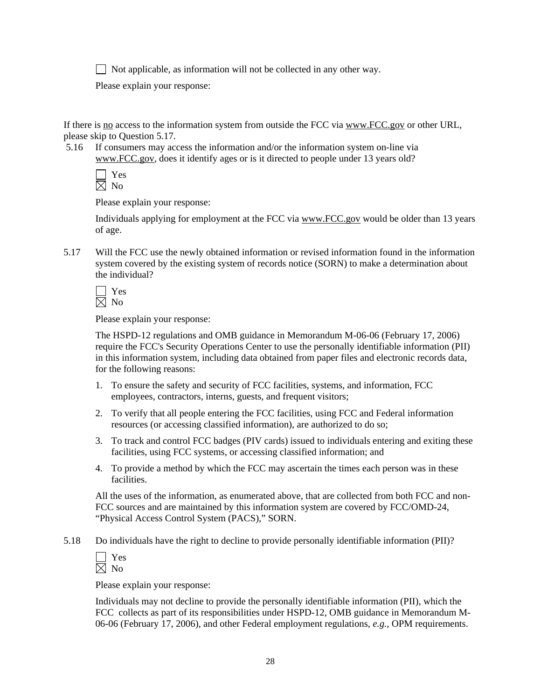Not applicable, as information will not be collected in any other way.

Please explain your response:

If there is no access to the information system from outside the FCC via www.FCC.gov or other URL, please skip to Question 5.17.

 5.16 If consumers may access the information and/or the information system on-line via www.FCC.gov, does it identify ages or is it directed to people under 13 years old?

Please explain your response:

Individuals applying for employment at the FCC via www.FCC.gov would be older than 13 years of age.

5.17 Will the FCC use the newly obtained information or revised information found in the information system covered by the existing system of records notice (SORN) to make a determination about the individual?

Please explain your response:

The HSPD-12 regulations and OMB guidance in Memorandum M-06-06 (February 17, 2006) require the FCC's Security Operations Center to use the personally identifiable information (PII) in this information system, including data obtained from paper files and electronic records data, for the following reasons:

- 1. To ensure the safety and security of FCC facilities, systems, and information, FCC employees, contractors, interns, guests, and frequent visitors;
- 2. To verify that all people entering the FCC facilities, using FCC and Federal information resources (or accessing classified information), are authorized to do so;
- 3. To track and control FCC badges (PIV cards) issued to individuals entering and exiting these facilities, using FCC systems, or accessing classified information; and
- 4. To provide a method by which the FCC may ascertain the times each person was in these facilities.

All the uses of the information, as enumerated above, that are collected from both FCC and non-FCC sources and are maintained by this information system are covered by FCC/OMD-24, "Physical Access Control System (PACS)," SORN.

5.18 Do individuals have the right to decline to provide personally identifiable information (PII)?

Please explain your response:

Individuals may not decline to provide the personally identifiable information (PII), which the FCC collects as part of its responsibilities under HSPD-12, OMB guidance in Memorandum M-06-06 (February 17, 2006), and other Federal employment regulations, *e.g.,* OPM requirements.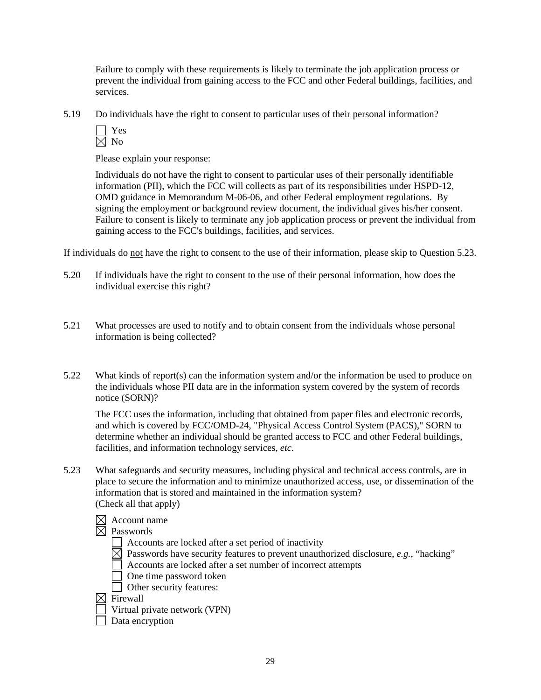Failure to comply with these requirements is likely to terminate the job application process or prevent the individual from gaining access to the FCC and other Federal buildings, facilities, and services.

5.19 Do individuals have the right to consent to particular uses of their personal information?

Please explain your response:

Individuals do not have the right to consent to particular uses of their personally identifiable information (PII), which the FCC will collects as part of its responsibilities under HSPD-12, OMD guidance in Memorandum M-06-06, and other Federal employment regulations. By signing the employment or background review document, the individual gives his/her consent. Failure to consent is likely to terminate any job application process or prevent the individual from gaining access to the FCC's buildings, facilities, and services.

If individuals do not have the right to consent to the use of their information, please skip to Question 5.23.

- 5.20 If individuals have the right to consent to the use of their personal information, how does the individual exercise this right?
- 5.21 What processes are used to notify and to obtain consent from the individuals whose personal information is being collected?
- 5.22 What kinds of report(s) can the information system and/or the information be used to produce on the individuals whose PII data are in the information system covered by the system of records notice (SORN)?

 The FCC uses the information, including that obtained from paper files and electronic records, and which is covered by FCC/OMD-24, "Physical Access Control System (PACS)," SORN to determine whether an individual should be granted access to FCC and other Federal buildings, facilities, and information technology services, *etc*.

- 5.23 What safeguards and security measures, including physical and technical access controls, are in place to secure the information and to minimize unauthorized access, use, or dissemination of the information that is stored and maintained in the information system? (Check all that apply)
	- $\boxtimes$  Account name
	- $\boxtimes$  Passwords
		- Accounts are locked after a set period of inactivity
		- $\boxtimes$  Passwords have security features to prevent unauthorized disclosure, *e.g.*, "hacking"
		- Accounts are locked after a set number of incorrect attempts
		- One time password token
		- Other security features:
	- $\boxtimes$  Firewall
		- Virtual private network (VPN)
		- Data encryption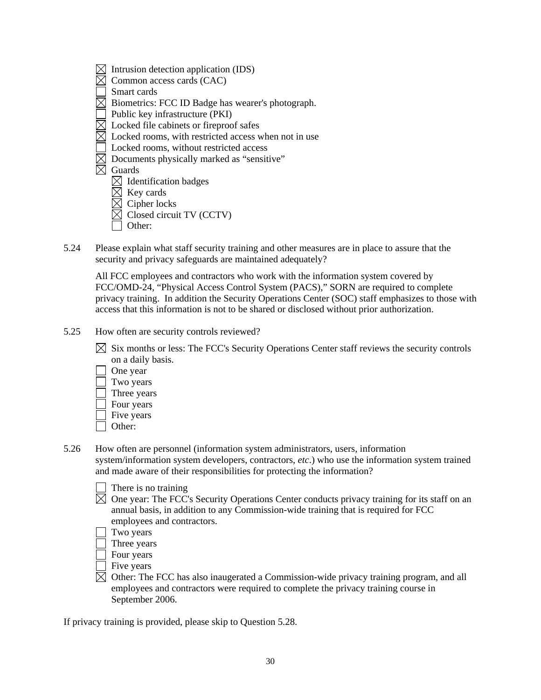- $\boxtimes$  Intrusion detection application (IDS)
- $\boxtimes$  Common access cards (CAC)
- Smart cards
- $\overline{\boxtimes}$  Biometrics: FCC ID Badge has wearer's photograph.
- Public key infrastructure (PKI)
- $\boxtimes$  Locked file cabinets or fireproof safes
- $\boxtimes$  Locked rooms, with restricted access when not in use
- Locked rooms, without restricted access
- Documents physically marked as "sensitive"
- Guards
	- $\boxtimes$  Identification badges
	- $\boxtimes$  Key cards
	- $\boxtimes$  Cipher locks
	- $\overline{\boxtimes}$  Closed circuit TV (CCTV)
	- Other:
- 5.24 Please explain what staff security training and other measures are in place to assure that the security and privacy safeguards are maintained adequately?

 All FCC employees and contractors who work with the information system covered by FCC/OMD-24, "Physical Access Control System (PACS)," SORN are required to complete privacy training. In addition the Security Operations Center (SOC) staff emphasizes to those with access that this information is not to be shared or disclosed without prior authorization.

- 5.25 How often are security controls reviewed?
	- $\boxtimes$  Six months or less: The FCC's Security Operations Center staff reviews the security controls on a daily basis.
		- One year
		- Two years
		- Three years
		- Four years
		- Five years
		- Other:
- 5.26 How often are personnel (information system administrators, users, information system/information system developers, contractors, *etc*.) who use the information system trained and made aware of their responsibilities for protecting the information?

| There is no training |  |
|----------------------|--|
|----------------------|--|

- $\boxtimes$  One year: The FCC's Security Operations Center conducts privacy training for its staff on an annual basis, in addition to any Commission-wide training that is required for FCC employees and contractors.
	- Two years
	- Three years
- Four years
- Five years
- $\boxtimes$  Other: The FCC has also inaugerated a Commission-wide privacy training program, and all employees and contractors were required to complete the privacy training course in September 2006.

If privacy training is provided, please skip to Question 5.28.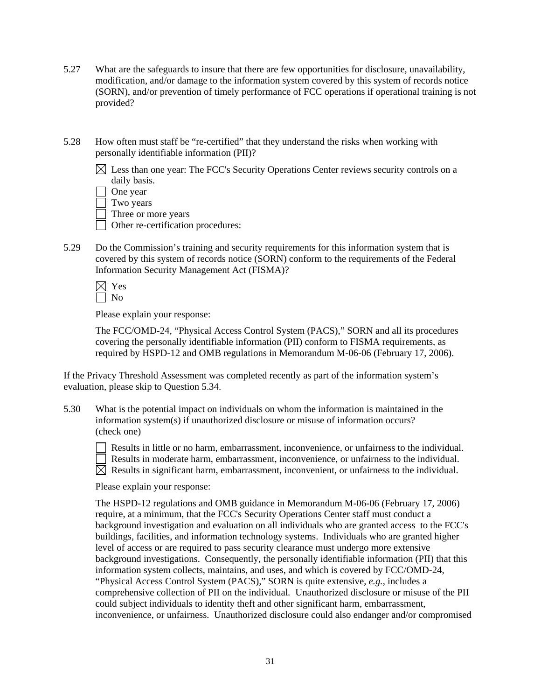- 5.27 What are the safeguards to insure that there are few opportunities for disclosure, unavailability, modification, and/or damage to the information system covered by this system of records notice (SORN), and/or prevention of timely performance of FCC operations if operational training is not provided?
- 5.28 How often must staff be "re-certified" that they understand the risks when working with personally identifiable information (PII)?
	- $\boxtimes$  Less than one year: The FCC's Security Operations Center reviews security controls on a daily basis.

|  | One vear |
|--|----------|
|--|----------|

Three or more years

 $\Box$  Other re-certification procedures:

5.29 Do the Commission's training and security requirements for this information system that is covered by this system of records notice (SORN) conform to the requirements of the Federal Information Security Management Act (FISMA)?

Please explain your response:

The FCC/OMD-24, "Physical Access Control System (PACS)," SORN and all its procedures covering the personally identifiable information (PII) conform to FISMA requirements, as required by HSPD-12 and OMB regulations in Memorandum M-06-06 (February 17, 2006).

If the Privacy Threshold Assessment was completed recently as part of the information system's evaluation, please skip to Question 5.34.

5.30 What is the potential impact on individuals on whom the information is maintained in the information system(s) if unauthorized disclosure or misuse of information occurs? (check one)



 $\Box$  Results in little or no harm, embarrassment, inconvenience, or unfairness to the individual. Results in moderate harm, embarrassment, inconvenience, or unfairness to the individual.  $\boxtimes$  Results in significant harm, embarrassment, inconvenient, or unfairness to the individual.

Please explain your response:

The HSPD-12 regulations and OMB guidance in Memorandum M-06-06 (February 17, 2006) require, at a minimum, that the FCC's Security Operations Center staff must conduct a background investigation and evaluation on all individuals who are granted access to the FCC's buildings, facilities, and information technology systems. Individuals who are granted higher level of access or are required to pass security clearance must undergo more extensive background investigations. Consequently, the personally identifiable information (PII) that this information system collects, maintains, and uses, and which is covered by FCC/OMD-24, "Physical Access Control System (PACS)," SORN is quite extensive, *e.g.*, includes a comprehensive collection of PII on the individual*.* Unauthorized disclosure or misuse of the PII could subject individuals to identity theft and other significant harm, embarrassment, inconvenience, or unfairness. Unauthorized disclosure could also endanger and/or compromised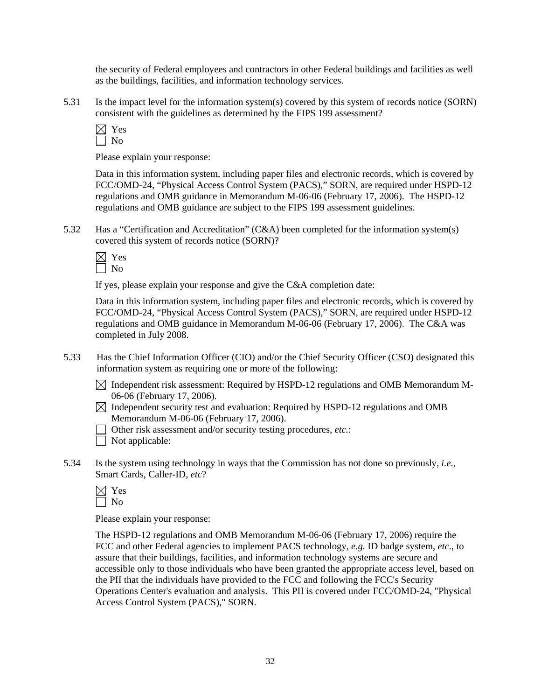the security of Federal employees and contractors in other Federal buildings and facilities as well as the buildings, facilities, and information technology services.

5.31 Is the impact level for the information system(s) covered by this system of records notice (SORN) consistent with the guidelines as determined by the FIPS 199 assessment?



Please explain your response:

Data in this information system, including paper files and electronic records, which is covered by FCC/OMD-24, "Physical Access Control System (PACS)," SORN, are required under HSPD-12 regulations and OMB guidance in Memorandum M-06-06 (February 17, 2006). The HSPD-12 regulations and OMB guidance are subject to the FIPS 199 assessment guidelines.

5.32 Has a "Certification and Accreditation" (C&A) been completed for the information system(s) covered this system of records notice (SORN)?

 $\boxtimes$  Yes No

If yes, please explain your response and give the C&A completion date:

Data in this information system, including paper files and electronic records, which is covered by FCC/OMD-24, "Physical Access Control System (PACS)," SORN, are required under HSPD-12 regulations and OMB guidance in Memorandum M-06-06 (February 17, 2006). The C&A was completed in July 2008.

- 5.33 Has the Chief Information Officer (CIO) and/or the Chief Security Officer (CSO) designated this information system as requiring one or more of the following:
	- $\boxtimes$  Independent risk assessment: Required by HSPD-12 regulations and OMB Memorandum M-06-06 (February 17, 2006).
	- $\boxtimes$  Independent security test and evaluation: Required by HSPD-12 regulations and OMB Memorandum M-06-06 (February 17, 2006).
	- Other risk assessment and/or security testing procedures, *etc.*:

 $\Box$  Not applicable:

5.34 Is the system using technology in ways that the Commission has not done so previously, *i.e*., Smart Cards, Caller-ID, *etc*?

Please explain your response:

The HSPD-12 regulations and OMB Memorandum M-06-06 (February 17, 2006) require the FCC and other Federal agencies to implement PACS technology, *e.g.* ID badge system, *etc*., to assure that their buildings, facilities, and information technology systems are secure and accessible only to those individuals who have been granted the appropriate access level, based on the PII that the individuals have provided to the FCC and following the FCC's Security Operations Center's evaluation and analysis. This PII is covered under FCC/OMD-24, "Physical Access Control System (PACS)," SORN.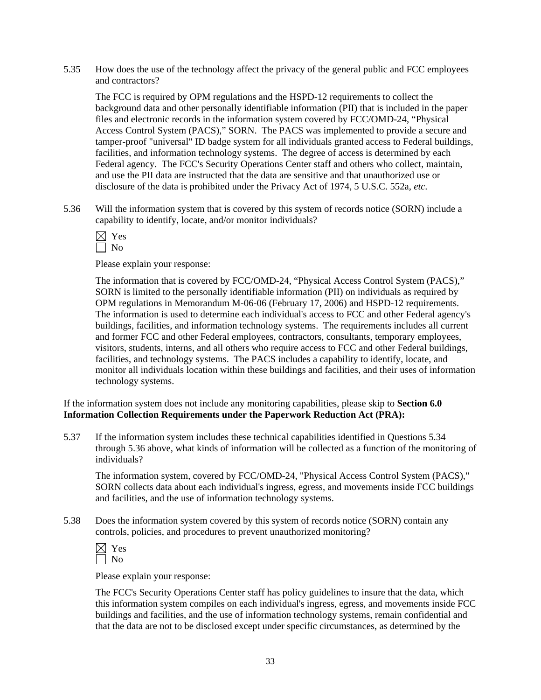5.35 How does the use of the technology affect the privacy of the general public and FCC employees and contractors?

The FCC is required by OPM regulations and the HSPD-12 requirements to collect the background data and other personally identifiable information (PII) that is included in the paper files and electronic records in the information system covered by FCC/OMD-24, "Physical Access Control System (PACS)," SORN. The PACS was implemented to provide a secure and tamper-proof "universal" ID badge system for all individuals granted access to Federal buildings, facilities, and information technology systems. The degree of access is determined by each Federal agency. The FCC's Security Operations Center staff and others who collect, maintain, and use the PII data are instructed that the data are sensitive and that unauthorized use or disclosure of the data is prohibited under the Privacy Act of 1974, 5 U.S.C. 552a, *etc*.

5.36 Will the information system that is covered by this system of records notice (SORN) include a capability to identify, locate, and/or monitor individuals?

$$
\mathbb{Z} \underset{\text{No}}{\times}
$$

Please explain your response:

 The information that is covered by FCC/OMD-24, "Physical Access Control System (PACS)," SORN is limited to the personally identifiable information (PII) on individuals as required by OPM regulations in Memorandum M-06-06 (February 17, 2006) and HSPD-12 requirements. The information is used to determine each individual's access to FCC and other Federal agency's buildings, facilities, and information technology systems. The requirements includes all current and former FCC and other Federal employees, contractors, consultants, temporary employees, visitors, students, interns, and all others who require access to FCC and other Federal buildings, facilities, and technology systems. The PACS includes a capability to identify, locate, and monitor all individuals location within these buildings and facilities, and their uses of information technology systems.

If the information system does not include any monitoring capabilities, please skip to **Section 6.0 Information Collection Requirements under the Paperwork Reduction Act (PRA):** 

5.37 If the information system includes these technical capabilities identified in Questions 5.34 through 5.36 above, what kinds of information will be collected as a function of the monitoring of individuals?

The information system, covered by FCC/OMD-24, "Physical Access Control System (PACS)," SORN collects data about each individual's ingress, egress, and movements inside FCC buildings and facilities, and the use of information technology systems.

5.38 Does the information system covered by this system of records notice (SORN) contain any controls, policies, and procedures to prevent unauthorized monitoring?

| $\overline{\phantom{a}}$ | - |
|--------------------------|---|
| $\overline{\phantom{a}}$ |   |

Please explain your response:

The FCC's Security Operations Center staff has policy guidelines to insure that the data, which this information system compiles on each individual's ingress, egress, and movements inside FCC buildings and facilities, and the use of information technology systems, remain confidential and that the data are not to be disclosed except under specific circumstances, as determined by the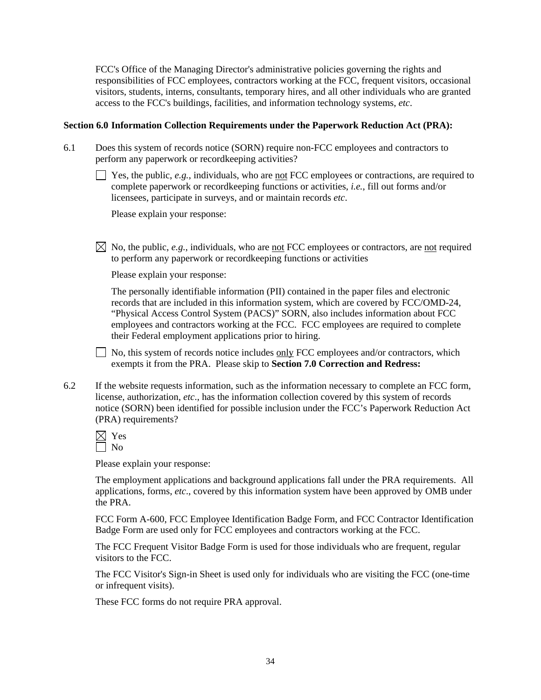FCC's Office of the Managing Director's administrative policies governing the rights and responsibilities of FCC employees, contractors working at the FCC, frequent visitors, occasional visitors, students, interns, consultants, temporary hires, and all other individuals who are granted access to the FCC's buildings, facilities, and information technology systems, *etc*.

#### **Section 6.0 Information Collection Requirements under the Paperwork Reduction Act (PRA):**

- 6.1 Does this system of records notice (SORN) require non-FCC employees and contractors to perform any paperwork or recordkeeping activities?
	- $\Box$  Yes, the public, *e.g.*, individuals, who are <u>not</u> FCC employees or contractions, are required to complete paperwork or recordkeeping functions or activities, *i.e.*, fill out forms and/or licensees, participate in surveys, and or maintain records *etc*.

Please explain your response:

 $\boxtimes$  No, the public, *e.g.*, individuals, who are not FCC employees or contractors, are not required to perform any paperwork or recordkeeping functions or activities

Please explain your response:

 The personally identifiable information (PII) contained in the paper files and electronic records that are included in this information system, which are covered by FCC/OMD-24, "Physical Access Control System (PACS)" SORN, also includes information about FCC employees and contractors working at the FCC. FCC employees are required to complete their Federal employment applications prior to hiring.

 $\Box$  No, this system of records notice includes only FCC employees and/or contractors, which exempts it from the PRA. Please skip to **Section 7.0 Correction and Redress:**

6.2 If the website requests information, such as the information necessary to complete an FCC form, license, authorization, *etc*., has the information collection covered by this system of records notice (SORN) been identified for possible inclusion under the FCC's Paperwork Reduction Act (PRA) requirements?

Please explain your response:

The employment applications and background applications fall under the PRA requirements. All applications, forms, *etc*., covered by this information system have been approved by OMB under the PRA.

FCC Form A-600, FCC Employee Identification Badge Form, and FCC Contractor Identification Badge Form are used only for FCC employees and contractors working at the FCC.

The FCC Frequent Visitor Badge Form is used for those individuals who are frequent, regular visitors to the FCC.

The FCC Visitor's Sign-in Sheet is used only for individuals who are visiting the FCC (one-time or infrequent visits).

These FCC forms do not require PRA approval.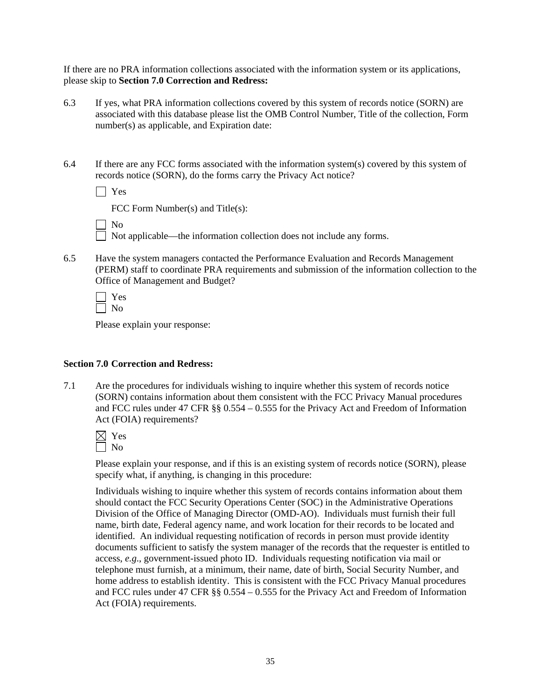If there are no PRA information collections associated with the information system or its applications, please skip to **Section 7.0 Correction and Redress:**

- 6.3 If yes, what PRA information collections covered by this system of records notice (SORN) are associated with this database please list the OMB Control Number, Title of the collection, Form number(s) as applicable, and Expiration date:
- 6.4 If there are any FCC forms associated with the information system(s) covered by this system of records notice (SORN), do the forms carry the Privacy Act notice?

Yes

FCC Form Number(s) and Title(s):

No

 $\Box$  Not applicable—the information collection does not include any forms.

6.5 Have the system managers contacted the Performance Evaluation and Records Management (PERM) staff to coordinate PRA requirements and submission of the information collection to the Office of Management and Budget?

 Yes  $\Box$  No

Please explain your response:

#### **Section 7.0 Correction and Redress:**

7.1 Are the procedures for individuals wishing to inquire whether this system of records notice (SORN) contains information about them consistent with the FCC Privacy Manual procedures and FCC rules under 47 CFR §§ 0.554 – 0.555 for the Privacy Act and Freedom of Information Act (FOIA) requirements?



Please explain your response, and if this is an existing system of records notice (SORN), please specify what, if anything, is changing in this procedure:

 Individuals wishing to inquire whether this system of records contains information about them should contact the FCC Security Operations Center (SOC) in the Administrative Operations Division of the Office of Managing Director (OMD-AO). Individuals must furnish their full name, birth date, Federal agency name, and work location for their records to be located and identified. An individual requesting notification of records in person must provide identity documents sufficient to satisfy the system manager of the records that the requester is entitled to access, *e.g*., government-issued photo ID. Individuals requesting notification via mail or telephone must furnish, at a minimum, their name, date of birth, Social Security Number, and home address to establish identity. This is consistent with the FCC Privacy Manual procedures and FCC rules under 47 CFR §§ 0.554 – 0.555 for the Privacy Act and Freedom of Information Act (FOIA) requirements.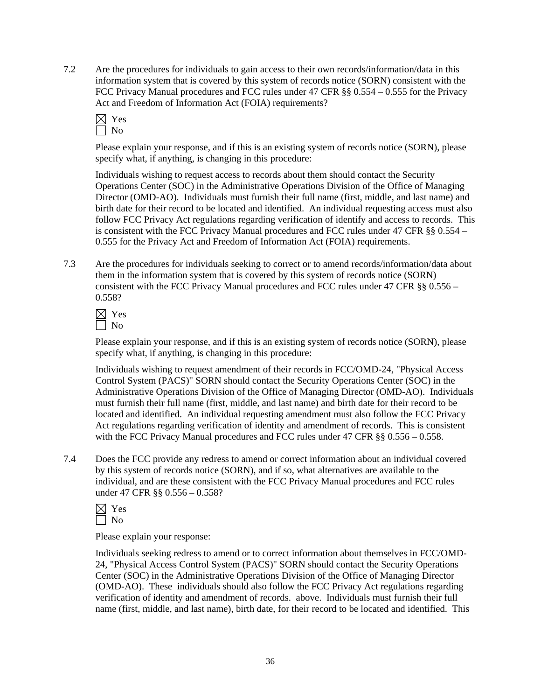7.2 Are the procedures for individuals to gain access to their own records/information/data in this information system that is covered by this system of records notice (SORN) consistent with the FCC Privacy Manual procedures and FCC rules under 47 CFR §§ 0.554 – 0.555 for the Privacy Act and Freedom of Information Act (FOIA) requirements?



Please explain your response, and if this is an existing system of records notice (SORN), please specify what, if anything, is changing in this procedure:

Individuals wishing to request access to records about them should contact the Security Operations Center (SOC) in the Administrative Operations Division of the Office of Managing Director (OMD-AO). Individuals must furnish their full name (first, middle, and last name) and birth date for their record to be located and identified. An individual requesting access must also follow FCC Privacy Act regulations regarding verification of identify and access to records. This is consistent with the FCC Privacy Manual procedures and FCC rules under 47 CFR §§ 0.554 – 0.555 for the Privacy Act and Freedom of Information Act (FOIA) requirements.

7.3 Are the procedures for individuals seeking to correct or to amend records/information/data about them in the information system that is covered by this system of records notice (SORN) consistent with the FCC Privacy Manual procedures and FCC rules under 47 CFR §§ 0.556 – 0.558?



Please explain your response, and if this is an existing system of records notice (SORN), please specify what, if anything, is changing in this procedure:

Individuals wishing to request amendment of their records in FCC/OMD-24, "Physical Access Control System (PACS)" SORN should contact the Security Operations Center (SOC) in the Administrative Operations Division of the Office of Managing Director (OMD-AO). Individuals must furnish their full name (first, middle, and last name) and birth date for their record to be located and identified. An individual requesting amendment must also follow the FCC Privacy Act regulations regarding verification of identity and amendment of records. This is consistent with the FCC Privacy Manual procedures and FCC rules under 47 CFR §§ 0.556 – 0.558.

7.4 Does the FCC provide any redress to amend or correct information about an individual covered by this system of records notice (SORN), and if so, what alternatives are available to the individual, and are these consistent with the FCC Privacy Manual procedures and FCC rules under 47 CFR §§ 0.556 – 0.558?



Please explain your response:

 Individuals seeking redress to amend or to correct information about themselves in FCC/OMD-24, "Physical Access Control System (PACS)" SORN should contact the Security Operations Center (SOC) in the Administrative Operations Division of the Office of Managing Director (OMD-AO). These individuals should also follow the FCC Privacy Act regulations regarding verification of identity and amendment of records. above. Individuals must furnish their full name (first, middle, and last name), birth date, for their record to be located and identified. This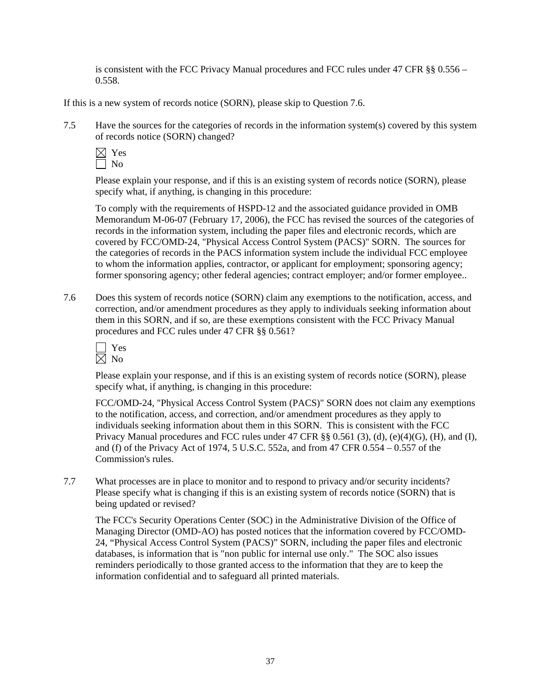is consistent with the FCC Privacy Manual procedures and FCC rules under 47 CFR §§ 0.556 – 0.558.

If this is a new system of records notice (SORN), please skip to Question 7.6.

7.5 Have the sources for the categories of records in the information system(s) covered by this system of records notice (SORN) changed?



Please explain your response, and if this is an existing system of records notice (SORN), please specify what, if anything, is changing in this procedure:

 To comply with the requirements of HSPD-12 and the associated guidance provided in OMB Memorandum M-06-07 (February 17, 2006), the FCC has revised the sources of the categories of records in the information system, including the paper files and electronic records, which are covered by FCC/OMD-24, "Physical Access Control System (PACS)" SORN. The sources for the categories of records in the PACS information system include the individual FCC employee to whom the information applies, contractor, or applicant for employment; sponsoring agency; former sponsoring agency; other federal agencies; contract employer; and/or former employee..

7.6 Does this system of records notice (SORN) claim any exemptions to the notification, access, and correction, and/or amendment procedures as they apply to individuals seeking information about them in this SORN, and if so, are these exemptions consistent with the FCC Privacy Manual procedures and FCC rules under 47 CFR §§ 0.561?

Please explain your response, and if this is an existing system of records notice (SORN), please specify what, if anything, is changing in this procedure:

FCC/OMD-24, "Physical Access Control System (PACS)" SORN does not claim any exemptions to the notification, access, and correction, and/or amendment procedures as they apply to individuals seeking information about them in this SORN. This is consistent with the FCC Privacy Manual procedures and FCC rules under 47 CFR §§ 0.561 (3), (d), (e)(4)(G), (H), and (I), and (f) of the Privacy Act of 1974, 5 U.S.C. 552a, and from 47 CFR 0.554 – 0.557 of the Commission's rules.

7.7 What processes are in place to monitor and to respond to privacy and/or security incidents? Please specify what is changing if this is an existing system of records notice (SORN) that is being updated or revised?

 The FCC's Security Operations Center (SOC) in the Administrative Division of the Office of Managing Director (OMD-AO) has posted notices that the information covered by FCC/OMD-24, "Physical Access Control System (PACS)" SORN, including the paper files and electronic databases, is information that is "non public for internal use only." The SOC also issues reminders periodically to those granted access to the information that they are to keep the information confidential and to safeguard all printed materials.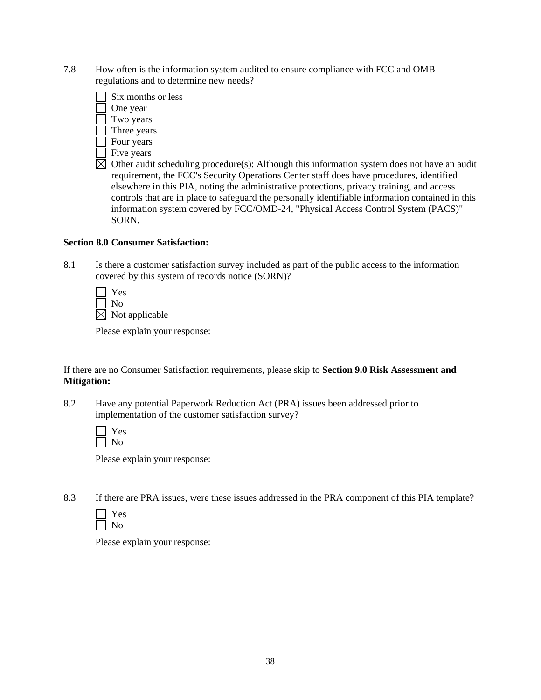7.8 How often is the information system audited to ensure compliance with FCC and OMB regulations and to determine new needs?



- Four years
- $\Box$  Five years
- $\boxtimes$  Other audit scheduling procedure(s): Although this information system does not have an audit requirement, the FCC's Security Operations Center staff does have procedures, identified elsewhere in this PIA, noting the administrative protections, privacy training, and access controls that are in place to safeguard the personally identifiable information contained in this information system covered by FCC/OMD-24, "Physical Access Control System (PACS)" SORN.

#### **Section 8.0 Consumer Satisfaction:**

8.1 Is there a customer satisfaction survey included as part of the public access to the information covered by this system of records notice (SORN)?

| Yes                     |
|-------------------------|
| ' No                    |
| $\times$ Not applicable |

Please explain your response:

If there are no Consumer Satisfaction requirements, please skip to **Section 9.0 Risk Assessment and Mitigation:** 

8.2 Have any potential Paperwork Reduction Act (PRA) issues been addressed prior to implementation of the customer satisfaction survey?

Please explain your response:

8.3 If there are PRA issues, were these issues addressed in the PRA component of this PIA template?

Please explain your response: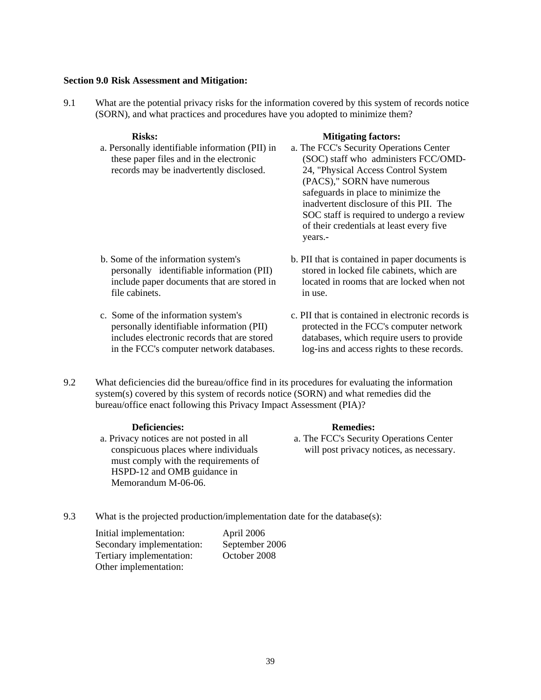#### **Section 9.0 Risk Assessment and Mitigation:**

9.1 What are the potential privacy risks for the information covered by this system of records notice (SORN), and what practices and procedures have you adopted to minimize them?

#### Risks: Mitigating factors:

- a. Personally identifiable information (PII) in these paper files and in the electronic records may be inadvertently disclosed. a. The FCC's Security Operations Center (SOC) staff who administers FCC/OMD-24, "Physical Access Control System (PACS)," SORN have numerous safeguards in place to minimize the inadvertent disclosure of this PII. The SOC staff is required to undergo a review of their credentials at least every five years.-
- b. Some of the information system's personally identifiable information (PII) include paper documents that are stored in file cabinets.
- c. Some of the information system's personally identifiable information (PII) includes electronic records that are stored in the FCC's computer network databases.
- b. PII that is contained in paper documents is stored in locked file cabinets, which are located in rooms that are locked when not in use.
- c. PII that is contained in electronic records is protected in the FCC's computer network databases, which require users to provide log-ins and access rights to these records.
- 9.2 What deficiencies did the bureau/office find in its procedures for evaluating the information system(s) covered by this system of records notice (SORN) and what remedies did the bureau/office enact following this Privacy Impact Assessment (PIA)?

#### **Deficiencies:** Remedies:

a. Privacy notices are not posted in all conspicuous places where individuals must comply with the requirements of HSPD-12 and OMB guidance in Memorandum M-06-06.

- a. The FCC's Security Operations Center will post privacy notices, as necessary.
- 9.3 What is the projected production/implementation date for the database(s):

 Initial implementation: April 2006 Secondary implementation: September 2006 Tertiary implementation: October 2008 Other implementation: